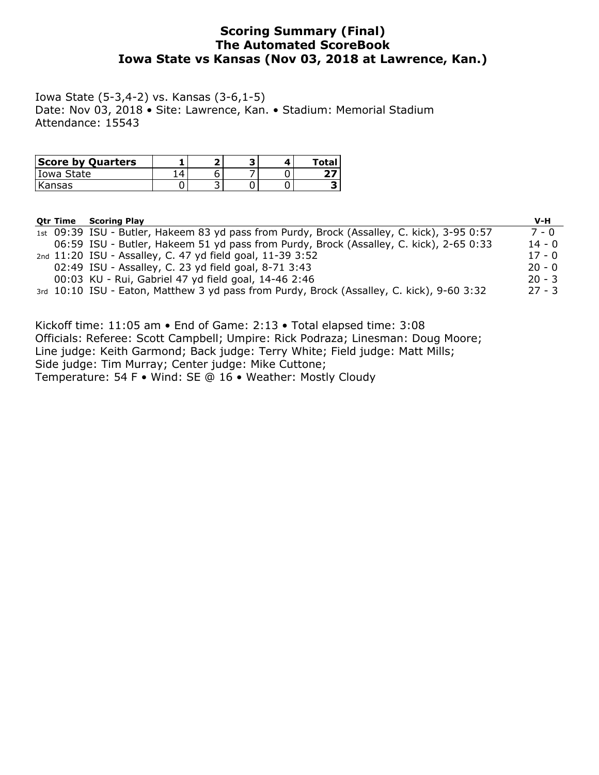# **Scoring Summary (Final) The Automated ScoreBook Iowa State vs Kansas (Nov 03, 2018 at Lawrence, Kan.)**

Iowa State (5-3,4-2) vs. Kansas (3-6,1-5) Date: Nov 03, 2018 • Site: Lawrence, Kan. • Stadium: Memorial Stadium Attendance: 15543

| <b>Score by Quarters</b> |   |  | Total |
|--------------------------|---|--|-------|
| Iowa State               |   |  |       |
| Kansas                   | ້ |  |       |

| <b>Otr Time</b> | <b>Scoring Play</b>                                                                        | $V-H$    |
|-----------------|--------------------------------------------------------------------------------------------|----------|
|                 | 1st 09:39 ISU - Butler, Hakeem 83 yd pass from Purdy, Brock (Assalley, C. kick), 3-95 0:57 | 7 - 0    |
|                 | 06:59 ISU - Butler, Hakeem 51 yd pass from Purdy, Brock (Assalley, C. kick), 2-65 0:33     | $14 - 0$ |
|                 | 2nd 11:20 ISU - Assalley, C. 47 yd field goal, 11-39 3:52                                  | $17 - 0$ |
|                 | 02:49 ISU - Assalley, C. 23 yd field goal, 8-71 3:43                                       | $20 - 0$ |
|                 | 00:03 KU - Rui, Gabriel 47 yd field goal, 14-46 2:46                                       | $20 - 3$ |
|                 | 3rd 10:10 ISU - Eaton, Matthew 3 yd pass from Purdy, Brock (Assalley, C. kick), 9-60 3:32  | $27 - 3$ |

Kickoff time: 11:05 am • End of Game: 2:13 • Total elapsed time: 3:08 Officials: Referee: Scott Campbell; Umpire: Rick Podraza; Linesman: Doug Moore; Line judge: Keith Garmond; Back judge: Terry White; Field judge: Matt Mills; Side judge: Tim Murray; Center judge: Mike Cuttone; Temperature: 54 F • Wind: SE @ 16 • Weather: Mostly Cloudy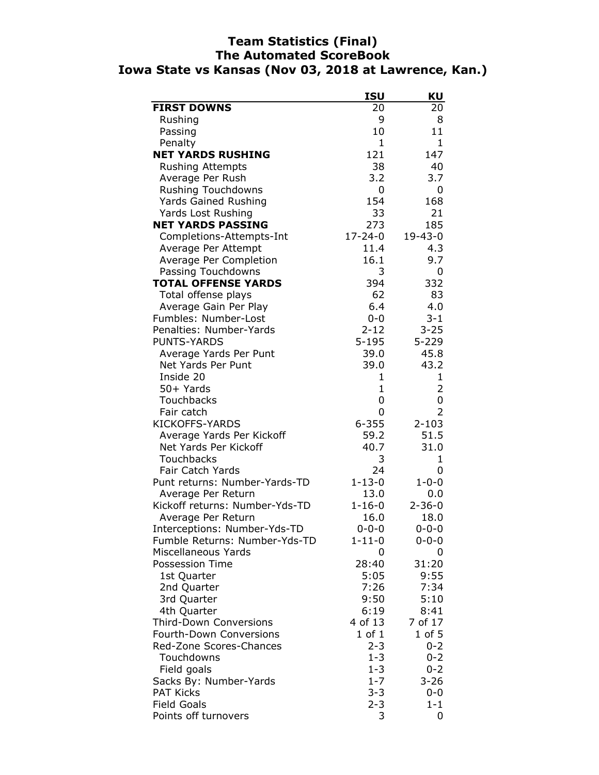# **Team Statistics (Final) The Automated ScoreBook Iowa State vs Kansas (Nov 03, 2018 at Lawrence, Kan.)**

|                                | <b>ISU</b>   | KU           |
|--------------------------------|--------------|--------------|
| <b>FIRST DOWNS</b>             | 20           | 20           |
| Rushing                        | 9            | 8            |
| Passing                        | 10           | 11           |
| Penalty                        | $\mathbf{1}$ | 1            |
| <b>NET YARDS RUSHING</b>       | 121          | 147          |
| <b>Rushing Attempts</b>        | 38           | 40           |
| Average Per Rush               | 3.2          | 3.7          |
| <b>Rushing Touchdowns</b>      | 0            | 0            |
| <b>Yards Gained Rushing</b>    | 154          | 168          |
| Yards Lost Rushing             | 33           | 21           |
| <b>NET YARDS PASSING</b>       | 273          | 185          |
| Completions-Attempts-Int       | 17-24-0      | 19-43-0      |
| Average Per Attempt            | 11.4         | 4.3          |
| Average Per Completion         | 16.1         | 9.7          |
| Passing Touchdowns             | 3            | 0            |
| <b>TOTAL OFFENSE YARDS</b>     | 394          | 332          |
| Total offense plays            | 62           | 83           |
| Average Gain Per Play          | 6.4          | 4.0          |
| Fumbles: Number-Lost           | $0 - 0$      | 3-1          |
| Penalties: Number-Yards        | $2 - 12$     | $3 - 25$     |
| <b>PUNTS-YARDS</b>             | $5 - 195$    | $5 - 229$    |
| Average Yards Per Punt         | 39.0         | 45.8         |
| Net Yards Per Punt             | 39.0         | 43.2         |
| Inside 20                      | 1            | 1            |
| 50+ Yards                      | 1            | 2            |
| Touchbacks                     | 0            | 0            |
| Fair catch                     | 0            | 2            |
| <b>KICKOFFS-YARDS</b>          | $6 - 355$    | $2 - 103$    |
| Average Yards Per Kickoff      | 59.2         | 51.5         |
| Net Yards Per Kickoff          | 40.7         | 31.0         |
| Touchbacks                     | 3            | 1            |
| Fair Catch Yards               | 24           | 0            |
| Punt returns: Number-Yards-TD  | $1 - 13 - 0$ | $1 - 0 - 0$  |
| Average Per Return             | 13.0         | 0.0          |
| Kickoff returns: Number-Yds-TD | $1 - 16 - 0$ | $2 - 36 - 0$ |
| Average Per Return             | 16.0         | 18.0         |
| Interceptions: Number-Yds-TD   | $0 - 0 - 0$  | $0 - 0 - 0$  |
| Fumble Returns: Number-Yds-TD  | $1 - 11 - 0$ | $0 - 0 - 0$  |
| Miscellaneous Yards            | 0            | 0            |
| Possession Time                | 28:40        | 31:20        |
| 1st Quarter                    | 5:05         | 9:55         |
| 2nd Quarter                    | 7:26         | 7:34         |
| 3rd Quarter                    | 9:50         | 5:10         |
| 4th Quarter                    | 6:19         | 8:41         |
| <b>Third-Down Conversions</b>  | 4 of 13      | 7 of 17      |
| Fourth-Down Conversions        | $1$ of $1$   | $1$ of $5$   |
| Red-Zone Scores-Chances        | $2 - 3$      | $0 - 2$      |
| Touchdowns                     | $1 - 3$      | $0 - 2$      |
| Field goals                    | $1 - 3$      | $0 - 2$      |
| Sacks By: Number-Yards         | $1 - 7$      | $3 - 26$     |
| <b>PAT Kicks</b>               | $3 - 3$      | 0-0          |
| <b>Field Goals</b>             | $2 - 3$      | $1 - 1$      |
| Points off turnovers           | 3            | 0            |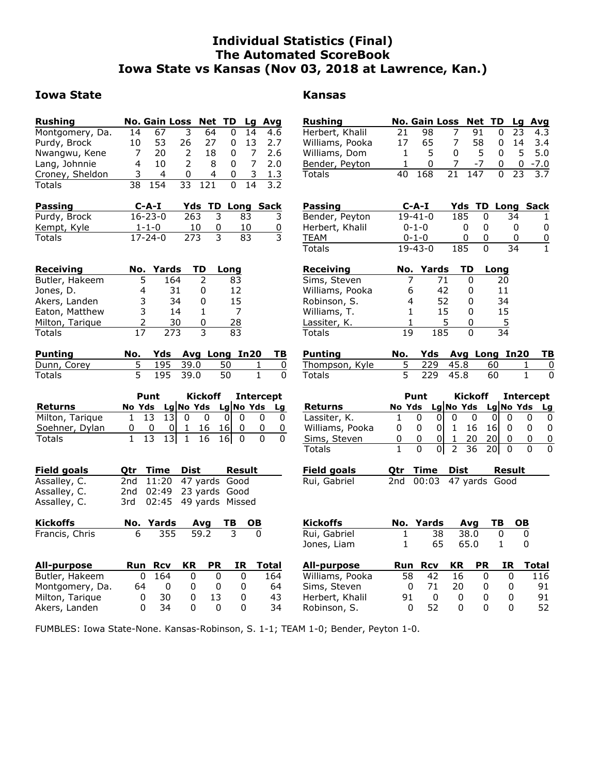# **Individual Statistics (Final) The Automated ScoreBook Iowa State vs Kansas (Nov 03, 2018 at Lawrence, Kan.)**

## **Iowa State Kansas**

Akers, Landen

| <b>Rushing</b>     |        |               | <b>No. Gain Loss</b>              |                         | <b>Net TD</b>   |           | Lg        | Avg              |
|--------------------|--------|---------------|-----------------------------------|-------------------------|-----------------|-----------|-----------|------------------|
| Montgomery, Da.    | 14     | 67            | 3                                 | 64                      |                 | 0         | 14        | 4.6              |
| Purdy, Brock       | 10     | 53            | 26                                | 27                      |                 | 0         | 13        | 2.7              |
| Nwangwu, Kene      | 7      | 20            | 2                                 | 18                      |                 | 0         | 7         | 2.6              |
| Lang, Johnnie      | 4      | 10            | 2                                 |                         | 8               | 0         | 7         | 2.0              |
| Croney, Sheldon    | 3      | 4             | 0                                 |                         | 4               | 0         | 3         | 1.3              |
| Totals             | 38     | 154           | 33                                | 121                     |                 | 0         | 14        | 3.2              |
|                    |        |               |                                   |                         |                 |           |           |                  |
| <u>Passing</u>     |        | C-A-I         |                                   | <b>Yds TD Long Sack</b> |                 |           |           |                  |
| Purdy, Brock       |        | 16-23-0       |                                   | 263                     | 3               | 83        |           | 3                |
| Kempt, Kyle        |        | $1 - 1 - 0$   |                                   | <u>10</u>               | 0               | 10        |           | 0                |
| Totals             |        | $17 - 24 - 0$ |                                   | 273                     | 3               | 83        |           | 3                |
|                    |        |               |                                   |                         |                 |           |           |                  |
|                    |        |               |                                   |                         |                 |           |           |                  |
| <b>Receiving</b>   |        | No. Yards     |                                   | TD                      | Long            |           |           |                  |
| Butler, Hakeem     | 5      |               | 164                               | 2                       |                 | 83        |           |                  |
| Jones, D.          | 4      |               | 31                                | 0                       |                 | 12        |           |                  |
| Akers, Landen      | 3      |               | 34                                | 0                       |                 | 15        |           |                  |
| Eaton, Matthew     | 3      |               | 14                                | 1                       |                 | 7         |           |                  |
| Milton, Tarique    | 2      |               | 30                                | 0                       |                 | <u>28</u> |           |                  |
| <b>Totals</b>      | 17     |               | 273                               | 3                       |                 | 83        |           |                  |
| <b>Punting</b>     | No.    |               | Yds Avg Long In20                 |                         |                 |           |           | ΤВ               |
| Dunn, Corey        | 5      | 195           | 39.0                              |                         | 50              |           | 1         | 0                |
| Totals             | 5      | 195           | 39.0                              |                         | 50              |           | 1         | 0                |
|                    |        |               |                                   |                         |                 |           |           |                  |
|                    |        | Punt          |                                   | Kickoff                 |                 |           |           | <b>Intercept</b> |
| <b>Returns</b>     | No Yds |               | Lg No Yds Lg No Yds Lg            |                         |                 |           |           |                  |
| Milton, Tarique    | 1      | 13            | 13<br>0                           | $\mathbf{0}$            | 01              | 0         | 0         | 0                |
| Soehner, Dylan     | 0      | 0             | $1 \quad$<br>0                    | 16                      | 16 <sub>l</sub> | 0         | 0         |                  |
| Totals             | 1      | 13            | $\overline{1}$<br>13 <sup>l</sup> | 16                      | 16 <sub>l</sub> | 0         | 0         |                  |
|                    |        |               |                                   |                         |                 |           |           |                  |
|                    |        |               |                                   |                         |                 |           |           |                  |
| <u>Field goals</u> | Qtr    | Time<br>11:20 |                                   | Dist                    |                 | Result    |           |                  |
| Assalley, C.       | 2nd    |               |                                   | 47 yards Good           |                 |           |           |                  |
| Assalley, C.       | 2nd -  | 02:49         |                                   | 23 yards Good           |                 |           |           |                  |
| Assalley, C.       | 3rd -  | 02:45         |                                   | 49 yards                |                 | Missed    |           |                  |
| <b>Kickoffs</b>    |        | No. Yards     |                                   | Avg                     | ΤВ              |           | <u>ОВ</u> |                  |
| Francis, Chris     | 6      | 355           |                                   | 59.2                    |                 | 3         |           |                  |
|                    |        |               |                                   |                         |                 |           |           |                  |
|                    |        |               |                                   |                         |                 |           |           |                  |
| <u>All-purpose</u> | Run    | <u>Rcv</u>    | ΚR                                |                         | PR              | ΙR        |           | <b>Total</b>     |
| Butler, Hakeem     | 0      | 164           |                                   | 0                       | 0               | 0         |           | 164              |
| Montgomery, Da.    | 64     |               | 0                                 | 0                       | 0               | 0         |           | 64               |
| Milton, Tarique    | 0      | 30            |                                   | 0                       | 13              | 0         |           | 43               |
| Akers, Landen      | 0      | 34            |                                   | 0                       | 0               | 0         |           | 34               |

| <b>Rushing</b>  |     | No. Gain Loss Net TD Lg Avg |              |        |              |       |           |
|-----------------|-----|-----------------------------|--------------|--------|--------------|-------|-----------|
| Herbert, Khalil | 21. | 98.                         |              | 91     | 0            | - 23  | 4.3       |
| Williams, Pooka | 17  | 65.                         | <sup>7</sup> | 58.    | 0            | 14    | 3.4       |
| Williams, Dom   |     | 5                           | 0            | 5.     | 0            | 5.    | 5.0       |
| Bender, Peyton  |     | $\Omega$                    |              | $-7$   | 0            |       | $0 - 7.0$ |
| <b>Totals</b>   | 40  | 168                         |              | 21 147 | <sup>n</sup> | - 23. | 3.7       |

| Passing         | $C-A-I$       |     | <b>Yds TD Long Sack</b> |  |
|-----------------|---------------|-----|-------------------------|--|
| Bender, Peyton  | $19 - 41 - 0$ | 185 | 34                      |  |
| Herbert, Khalil | $0 - 1 - 0$   |     |                         |  |
| <b>TFAM</b>     | $0 - 1 - 0$   |     |                         |  |
| <b>Totals</b>   | $19 - 43 - 0$ | 185 | 34                      |  |

| Receiving       |     | No. Yards | <b>TD</b> | Long |
|-----------------|-----|-----------|-----------|------|
| Sims, Steven    |     | 71        |           | 20   |
| Williams, Pooka | 6   | 42        |           | 11   |
| Robinson, S.    | 4   | 52        |           | 34   |
| Williams, T.    | 1   | 15        |           | 15   |
| Lassiter, K.    |     | 5         |           | 5    |
| Totals          | 1 Q | 185       |           | 34   |

| Punting        |            |      | No. Yds Avg Long In20 TB |  |
|----------------|------------|------|--------------------------|--|
| Thompson, Kyle | 5 229 45.8 | 60   |                          |  |
| Totals         | 5 229 45.8 | - 60 |                          |  |

|                 |   | Punt                       |  | Kickoff |     | Intercept |           |
|-----------------|---|----------------------------|--|---------|-----|-----------|-----------|
| <b>Returns</b>  |   | No Yds Lg No Yds Lg No Yds |  |         |     |           | <b>Lg</b> |
| Lassiter, K.    |   |                            |  |         |     |           |           |
| Williams, Pooka | 0 |                            |  | 16      | 16I |           |           |
| Sims, Steven    |   | $\Omega$                   |  | 20      |     |           |           |
| Totals          |   |                            |  | 2 36 20 |     |           |           |

| <b>Field goals</b> | Qtr Time Dist |                         | Result |
|--------------------|---------------|-------------------------|--------|
| Rui, Gabriel       |               | 2nd 00:03 47 yards Good |        |

| <b>Kickoffs</b> | No. Yards | Ava   | тв  | <b>OB</b> |  |
|-----------------|-----------|-------|-----|-----------|--|
| Rui, Gabriel    | 38        | .38.0 |     |           |  |
| Jones, Liam     | 65.       | 65.0  |     |           |  |
| All-purpose     | Run Rcv   | KR PR | IR. | Total     |  |

| All-purpose     | ĸun. | <b>KCV</b>   |     | NR PR | 1K. | i otal |
|-----------------|------|--------------|-----|-------|-----|--------|
| Williams, Pooka | 58   | 42           | 16. |       |     | 116    |
| Sims, Steven    |      | 71           | 20  |       |     | 91     |
| Herbert, Khalil |      | $\mathbf{I}$ | 0   |       |     | 91     |
| Robinson, S.    |      | 52.          | 0   |       |     | 52     |
|                 |      |              |     |       |     |        |

FUMBLES: Iowa State-None. Kansas-Robinson, S. 1-1; TEAM 1-0; Bender, Peyton 1-0.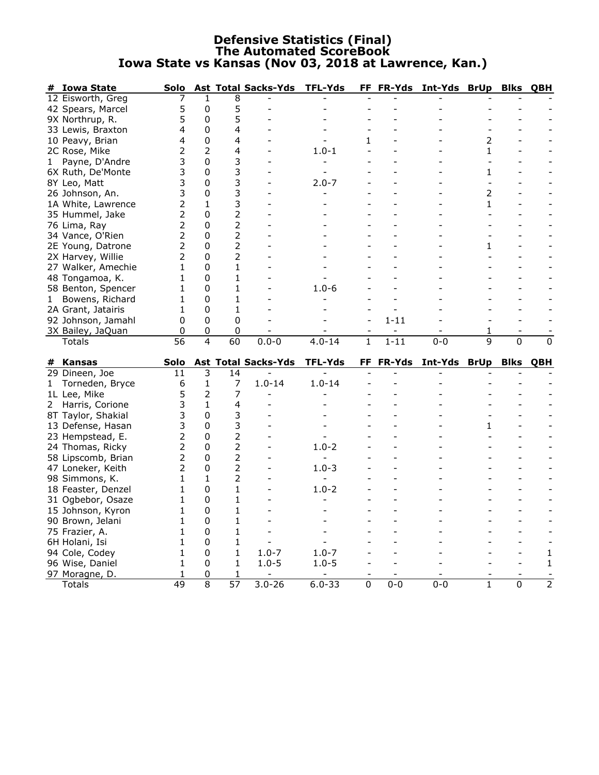## **Defensive Statistics (Final) The Automated ScoreBook Iowa State vs Kansas (Nov 03, 2018 at Lawrence, Kan.)**

| # Iowa State                    | Solo            |        |                      | <b>Ast Total Sacks-Yds</b> | <b>TFL-Yds</b> | FF           | FR-Yds    | Int-Yds      | <b>BrUp</b>  | <b>Blks</b>    | QBH            |
|---------------------------------|-----------------|--------|----------------------|----------------------------|----------------|--------------|-----------|--------------|--------------|----------------|----------------|
| 12 Eisworth, Greg               |                 | 1      | 8                    |                            |                |              |           |              |              |                |                |
| 42 Spears, Marcel               | 5               | 0      | 5                    |                            |                |              |           |              |              |                |                |
| 9X Northrup, R.                 | 5               | 0      | 5                    |                            |                |              |           |              |              |                |                |
| 33 Lewis, Braxton               | 4               | 0      | 4                    |                            |                |              |           |              |              |                |                |
| 10 Peavy, Brian                 | 4               | 0      | 4                    |                            |                | 1            |           |              | 2            |                |                |
| 2C Rose, Mike                   | 2               | 2      | 4                    |                            | $1.0 - 1$      |              |           |              | 1            |                |                |
| Payne, D'Andre<br>1             | 3               | 0      | 3                    |                            |                |              |           |              |              |                |                |
| 6X Ruth, De'Monte               | 3               | 0      | 3                    |                            |                |              |           |              | 1            |                |                |
| 8Y Leo, Matt                    | 3               | 0      | 3                    |                            | $2.0 - 7$      |              |           |              |              |                |                |
| 26 Johnson, An.                 | 3               | 0      | 3                    |                            |                |              |           |              | 2            |                |                |
| 1A White, Lawrence              | $\overline{2}$  | 1      | 3                    |                            |                |              |           |              | 1            |                |                |
| 35 Hummel, Jake                 | 2               | 0      | $\overline{2}$       |                            |                |              |           |              |              |                |                |
| 76 Lima, Ray                    | 2               | 0      | 2                    |                            |                |              |           |              |              |                |                |
| 34 Vance, O'Rien                | 2               | 0      | 2                    |                            |                |              |           |              |              |                |                |
| 2E Young, Datrone               | 2               | 0      | $\overline{2}$       |                            |                |              |           |              | 1            |                |                |
| 2X Harvey, Willie               | 2               | 0      | $\overline{2}$       |                            |                |              |           |              |              |                |                |
| 27 Walker, Amechie              | 1               | 0      | 1                    |                            |                |              |           |              |              |                |                |
| 48 Tongamoa, K.                 | 1               | 0      | 1                    |                            |                |              |           |              |              |                |                |
| 58 Benton, Spencer              | 1               | 0      | 1                    |                            |                |              |           |              |              |                |                |
|                                 |                 | 0      | 1                    |                            | $1.0 - 6$      |              |           |              |              |                |                |
| Bowens, Richard<br>1            | 1               |        |                      |                            |                |              |           |              |              |                |                |
| 2A Grant, Jatairis              | 1               | 0      | 1                    |                            |                |              |           |              |              |                |                |
| 92 Johnson, Jamahl              | 0               | 0      | 0                    |                            |                |              | $1 - 11$  |              |              |                |                |
| 3X Bailey, JaQuan               | 0               | 0      | 0                    |                            |                |              |           |              | 1            |                |                |
|                                 |                 |        |                      |                            |                |              |           |              |              |                |                |
| Totals                          | $\overline{56}$ | 4      | $\overline{60}$      | $0.0 - 0$                  | $4.0 - 14$     | $\mathbf{1}$ | $1 - 11$  | $0-0$        | 9            | $\overline{0}$ | 0              |
|                                 |                 |        |                      |                            |                |              |           |              |              |                |                |
| # Kansas                        | Solo<br>11      | 3      | 14                   | <b>Ast Total Sacks-Yds</b> | TFL-Yds        |              | FF FR-Yds | Int-Yds BrUp |              | <b>Blks</b>    | QBH            |
| 29 Dineen, Joe                  | 6               |        |                      |                            |                |              |           |              |              |                |                |
| Torneden, Bryce<br>$\mathbf{1}$ |                 | 1      | 7                    | $1.0 - 14$                 | $1.0 - 14$     |              |           |              |              |                |                |
| 1L Lee, Mike                    | 5               | 2      | 7                    |                            |                |              |           |              |              |                |                |
| 2 Harris, Corione               | 3               | 1      | 4                    |                            |                |              |           |              |              |                |                |
| 8T Taylor, Shakial              | 3               | 0      | 3                    |                            |                |              |           |              |              |                |                |
| 13 Defense, Hasan               | 3               | 0      | 3                    |                            |                |              |           |              | 1            |                |                |
| 23 Hempstead, E.                | 2               | 0      | $\overline{2}$       |                            |                |              |           |              |              |                |                |
| 24 Thomas, Ricky                | 2               | 0      | $\overline{2}$       |                            | $1.0 - 2$      |              |           |              |              |                |                |
| 58 Lipscomb, Brian              | 2               | 0      | $\overline{2}$       |                            |                |              |           |              |              |                |                |
| 47 Loneker, Keith               | 2               | 0      | $\overline{2}$       |                            | $1.0 - 3$      |              |           |              |              |                |                |
| 98 Simmons, K.                  | 1               | 1      | 2                    |                            |                |              |           |              |              |                |                |
| 18 Feaster, Denzel              | 1               | 0      | 1                    |                            | $1.0 - 2$      |              |           |              |              |                |                |
| 31 Ogbebor, Osaze               | 1               | 0      | 1                    |                            |                |              |           |              |              |                |                |
| 15 Johnson, Kyron               | 1               | 0      | 1                    |                            |                |              |           |              |              |                |                |
| 90 Brown, Jelani                | 1               | 0      | 1                    |                            |                |              |           |              |              |                |                |
| 75 Frazier, A.                  | 1               | 0      | 1                    |                            |                |              |           |              |              |                |                |
| 6H Holani, Isi                  | 1               | 0      | 1                    |                            |                |              |           |              |              |                |                |
| 94 Cole, Codey                  | 1               | 0      | 1                    | $1.0 - 7$                  | $1.0 - 7$      |              |           |              |              |                | 1              |
| 96 Wise, Daniel                 | 1               | 0      | 1                    | $1.0 - 5$                  | $1.0 - 5$      |              |           |              |              |                | 1              |
| 97 Moragne, D.<br>Totals        | 1<br>49         | 0<br>8 | 1<br>$\overline{57}$ | $3.0 - 26$                 | $6.0 - 33$     | 0            | $0 - 0$   | $0 - 0$      | $\mathbf{1}$ | 0              | $\overline{2}$ |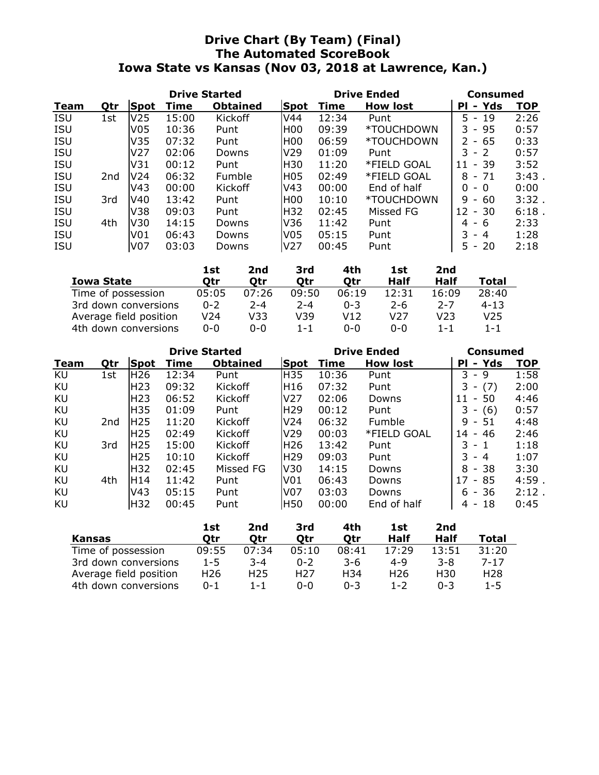# **Drive Chart (By Team) (Final) The Automated ScoreBook Iowa State vs Kansas (Nov 03, 2018 at Lawrence, Kan.)**

|            |     |                 | <b>Drive Started</b> |                 |                  |       | <b>Drive Ended</b> | Consumed                                        |            |  |
|------------|-----|-----------------|----------------------|-----------------|------------------|-------|--------------------|-------------------------------------------------|------------|--|
| Team       | Qtr | <b>Spot</b>     | Time                 | <b>Obtained</b> | Spot             | Time  | <b>How lost</b>    | Yds<br><b>PI</b><br>$\blacksquare$              | <b>TOP</b> |  |
| <b>ISU</b> | 1st | V25             | 15:00                | Kickoff         | V44              | 12:34 | Punt               | 5.<br>19<br>$\overline{a}$                      | 2:26       |  |
| <b>ISU</b> |     | V05             | 10:36                | Punt            | H <sub>00</sub>  | 09:39 | *TOUCHDOWN         | 95<br>3<br>$\sim$                               | 0:57       |  |
| <b>ISU</b> |     | V35             | 07:32                | Punt            | HOO.             | 06:59 | *TOUCHDOWN         | 65<br>$\mathcal{P}$<br>$\overline{\phantom{a}}$ | 0:33       |  |
| <b>ISU</b> |     | V27             | 02:06                | Downs           | V <sub>29</sub>  | 01:09 | Punt               | 3<br>$-2$                                       | 0:57       |  |
| <b>ISU</b> |     | V31             | 00:12                | Punt            | H30              | 11:20 | *FIELD GOAL        | -39<br>11<br>$\overline{\phantom{a}}$           | 3:52       |  |
| <b>ISU</b> | 2nd | V <sub>24</sub> | 06:32                | Fumble          | H <sub>0</sub> 5 | 02:49 | *FIELD GOAL        | 8<br>$-71$                                      | $3:43$ .   |  |
| <b>ISU</b> |     | V43             | 00:00                | Kickoff         | V <sub>43</sub>  | 00:00 | End of half        | 0<br>$\Omega$<br>$\overline{\phantom{0}}$       | 0:00       |  |
| <b>ISU</b> | 3rd | V40             | 13:42                | Punt            | HOO              | 10:10 | *TOUCHDOWN         | 9<br>60<br>$\overline{\phantom{a}}$             | 3:32.      |  |
| <b>ISU</b> |     | V38             | 09:03                | Punt            | H32              | 02:45 | Missed FG          | -30<br>12<br>$\overline{\phantom{a}}$           | $6:18$ .   |  |
| <b>ISU</b> | 4th | V30             | 14:15                | Downs           | V36              | 11:42 | Punt               | -6<br>4<br>$\sim$                               | 2:33       |  |
| <b>ISU</b> |     | V01             | 06:43                | Downs           | V05              | 05:15 | Punt               | ٦<br>4<br>$\overline{\phantom{0}}$              | 1:28       |  |
| <b>ISU</b> |     | V07             | 03:03                | Downs           | V27              | 00:45 | Punt               | 20<br>5.<br>$\overline{\phantom{a}}$            | 2:18       |  |

|                        | 1st     | 2nd     | 3rd     | 4th     | 1st     | 2nd     |          |
|------------------------|---------|---------|---------|---------|---------|---------|----------|
| <b>Iowa State</b>      | Otr     | Otr     | Otr     | Otr     | Half    | Half    | Total    |
| Time of possession     | 05:05   | 07:26   | 09:50   | 06:19   | 12:31   | 16:09   | 28:40    |
| 3rd down conversions   | $0 - 2$ | $2 - 4$ | $2 - 4$ | $0 - 3$ | $2 - 6$ | $2 - 7$ | $4 - 13$ |
| Average field position | V24     | V33     | V39     | V12     | V27     | V23     | V25      |
| 4th down conversions   | $0 - 0$ | ი-ი     | $1 - 1$ | $0 - 0$ | $0 - 0$ | $1 - 1$ | $1 - 1$  |

|      |     |                 | <b>Drive Started</b> |                 |                 | <b>Drive Ended</b> |                 | Consumed                                  |       |  |
|------|-----|-----------------|----------------------|-----------------|-----------------|--------------------|-----------------|-------------------------------------------|-------|--|
| Team | Qtr | Spot            | Time                 | <b>Obtained</b> | <b>Spot</b>     | Time               | <b>How lost</b> | - Yds<br>PI                               | TOP   |  |
| KU   | 1st | H <sub>26</sub> | 12:34                | Punt            | H35             | 10:36              | Punt            | 3.<br>- 9                                 | 1:58  |  |
| KU   |     | H <sub>23</sub> | 09:32                | Kickoff         | IH 16           | 07:32              | Punt            | (7)<br>3                                  | 2:00  |  |
| KU   |     | H23             | 06:52                | Kickoff         | <b>V27</b>      | 02:06              | Downs           | -50<br>11<br>$\qquad \qquad \blacksquare$ | 4:46  |  |
| KU   |     | H35             | 01:09                | Punt            | IH29            | 00:12              | Punt            | (6)                                       | 0:57  |  |
| KU   | 2nd | H25             | 11:20                | Kickoff         | V <sub>24</sub> | 06:32              | Fumble          | 9<br>-51<br>$\overline{\phantom{a}}$      | 4:48  |  |
| KU   |     | H <sub>25</sub> | 02:49                | Kickoff         | <b>V29</b>      | 00:03              | *FIELD GOAL     | 46<br>14<br>$\overline{\phantom{a}}$      | 2:46  |  |
| KU   | 3rd | H <sub>25</sub> | 15:00                | Kickoff         | IH26            | 13:42              | Punt            | 3<br>- 1                                  | 1:18  |  |
| KU   |     | H <sub>25</sub> | 10:10                | Kickoff         | <b>H29</b>      | 09:03              | Punt            | 3<br>- 4                                  | 1:07  |  |
| KU   |     | H32             | 02:45                | Missed FG       | <b>V30</b>      | 14:15              | Downs           | - 38<br>8                                 | 3:30  |  |
| KU   | 4th | lH14            | 11:42                | Punt            | V <sub>01</sub> | 06:43              | Downs           | 17<br>85<br>$\overline{\phantom{a}}$      | 4:59. |  |
| KU   |     | V43             | 05:15                | Punt            | V07             | 03:03              | Downs           | - 36<br>6                                 | 2:12. |  |
| KU   |     | H32             | 00:45                | Punt            | H50             | 00:00              | End of half     | -18<br>4<br>$\overline{\phantom{a}}$      | 0:45  |  |

|                        | 1st             | 2nd             | 3rd     | 4th     | 1st             | 2nd     |          |
|------------------------|-----------------|-----------------|---------|---------|-----------------|---------|----------|
| Kansas                 | Otr             | Otr             | Qtr     | Otr     | Half            | Half    | Total    |
| Time of possession     | 09:55           | 07:34           | 05:10   | 08:41   | 17:29           | 13:51   | 31:20    |
| 3rd down conversions   | $1 - 5$         | $3 - 4$         | $0 - 2$ | 3-6     | $4 - 9$         | $3 - 8$ | $7 - 17$ |
| Average field position | H <sub>26</sub> | H <sub>25</sub> | H27     | H34     | H <sub>26</sub> | H30     | H28      |
| 4th down conversions   | $0 - 1$         | $1 - 1$         | ი-ი     | $0 - 3$ | $1 - 2$         | በ-3     | $1 - 5$  |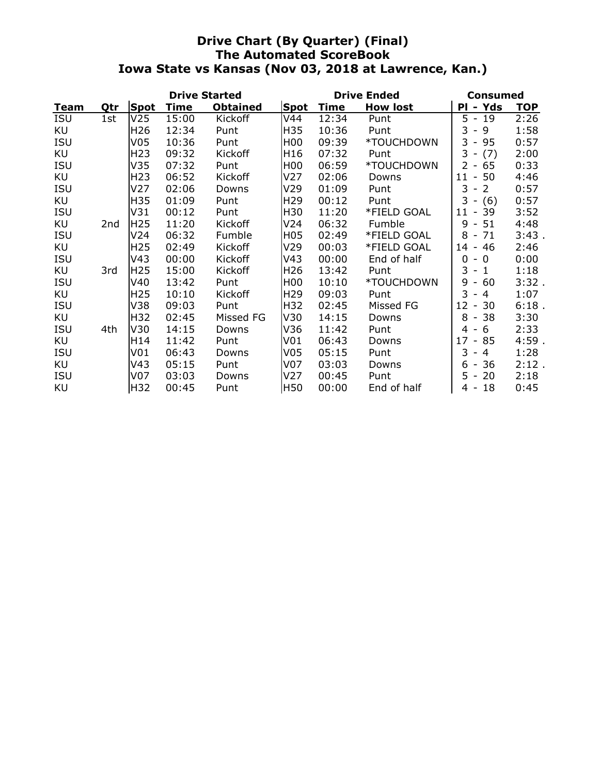# **Drive Chart (By Quarter) (Final) The Automated ScoreBook Iowa State vs Kansas (Nov 03, 2018 at Lawrence, Kan.)**

|            |     |                 | <b>Drive Started</b> |                 |                  | <b>Drive Ended</b> | Consumed        |                                                 |            |
|------------|-----|-----------------|----------------------|-----------------|------------------|--------------------|-----------------|-------------------------------------------------|------------|
| Team       | Qtr | Spot            | Time                 | <b>Obtained</b> | <b>Spot</b>      | <b>Time</b>        | <b>How lost</b> | - Yds<br>Ρl                                     | <b>TOP</b> |
| <b>ISU</b> | 1st | V <sub>25</sub> | 15:00                | Kickoff         | V44              | 12:34              | Punt            | 5.<br>$-19$                                     | 2:26       |
| KU         |     | H <sub>26</sub> | 12:34                | Punt            | H35              | 10:36              | Punt            | 3<br>9<br>$\overline{\phantom{a}}$              | 1:58       |
| <b>ISU</b> |     | V <sub>05</sub> | 10:36                | Punt            | H <sub>00</sub>  | 09:39              | *TOUCHDOWN      | 3<br>95<br>$\sim$                               | 0:57       |
| KU         |     | H <sub>23</sub> | 09:32                | Kickoff         | H <sub>16</sub>  | 07:32              | Punt            | 3<br>(7)<br>$\overline{\phantom{a}}$            | 2:00       |
| <b>ISU</b> |     | V35             | 07:32                | Punt            | H <sub>00</sub>  | 06:59              | *TOUCHDOWN      | $\overline{2}$<br>$-65$                         | 0:33       |
| KU         |     | H <sub>23</sub> | 06:52                | Kickoff         | V <sub>27</sub>  | 02:06              | Downs           | $11 - 50$                                       | 4:46       |
| <b>ISU</b> |     | V <sub>27</sub> | 02:06                | Downs           | V <sub>29</sub>  | 01:09              | Punt            | $\overline{2}$<br>3<br>$\overline{\phantom{a}}$ | 0:57       |
| KU         |     | H35             | 01:09                | Punt            | H <sub>29</sub>  | 00:12              | Punt            | 3<br>$- (6)$                                    | 0:57       |
| <b>ISU</b> |     | V31             | 00:12                | Punt            | H30              | 11:20              | *FIELD GOAL     | 39<br>11<br>$\blacksquare$                      | 3:52       |
| KU         | 2nd | H <sub>25</sub> | 11:20                | <b>Kickoff</b>  | V24              | 06:32              | Fumble          | 51<br>9<br>$\overline{\phantom{a}}$             | 4:48       |
| <b>ISU</b> |     | V <sub>24</sub> | 06:32                | Fumble          | H <sub>0</sub> 5 | 02:49              | *FIELD GOAL     | 8<br>71<br>$\overline{\phantom{a}}$             | 3:43.      |
| KU         |     | H <sub>25</sub> | 02:49                | Kickoff         | V29              | 00:03              | *FIELD GOAL     | 46<br>14<br>$\overline{\phantom{a}}$            | 2:46       |
| <b>ISU</b> |     | V43             | 00:00                | Kickoff         | V43              | 00:00              | End of half     | 0<br>$\Omega$<br>$\overline{\phantom{a}}$       | 0:00       |
| KU         | 3rd | H <sub>25</sub> | 15:00                | Kickoff         | H <sub>26</sub>  | 13:42              | Punt            | 3<br>$\mathbf{1}$<br>$\overline{\phantom{a}}$   | 1:18       |
| <b>ISU</b> |     | V40             | 13:42                | Punt            | H <sub>00</sub>  | 10:10              | *TOUCHDOWN      | 60<br>9<br>$\overline{\phantom{a}}$             | 3:32.      |
| KU         |     | H <sub>25</sub> | 10:10                | Kickoff         | H <sub>29</sub>  | 09:03              | Punt            | 3<br>$\overline{4}$<br>$\overline{\phantom{a}}$ | 1:07       |
| <b>ISU</b> |     | V38             | 09:03                | Punt            | H32              | 02:45              | Missed FG       | 12<br>30<br>$\overline{\phantom{a}}$            | 6:18.      |
| KU         |     | H32             | 02:45                | Missed FG       | V30              | 14:15              | Downs           | 8<br>38<br>$\overline{\phantom{a}}$             | 3:30       |
| <b>ISU</b> | 4th | V30             | 14:15                | Downs           | V36              | 11:42              | Punt            | 6<br>4<br>$\overline{\phantom{a}}$              | 2:33       |
| KU         |     | H14             | 11:42                | Punt            | V <sub>01</sub>  | 06:43              | Downs           | 17<br>85<br>$\overline{\phantom{a}}$            | 4:59.      |
| <b>ISU</b> |     | V <sub>01</sub> | 06:43                | Downs           | V <sub>05</sub>  | 05:15              | Punt            | 3<br>$\overline{4}$<br>۰                        | 1:28       |
| KU         |     | V <sub>43</sub> | 05:15                | Punt            | V <sub>07</sub>  | 03:03              | Downs           | 36<br>6<br>$\overline{\phantom{a}}$             | 2:12.      |
| <b>ISU</b> |     | V07             | 03:03                | Downs           | V <sub>27</sub>  | 00:45              | Punt            | 20<br>5.<br>$\overline{\phantom{a}}$            | 2:18       |
| KU         |     | H32             | 00:45                | Punt            | H50              | 00:00              | End of half     | 18<br>4 -                                       | 0:45       |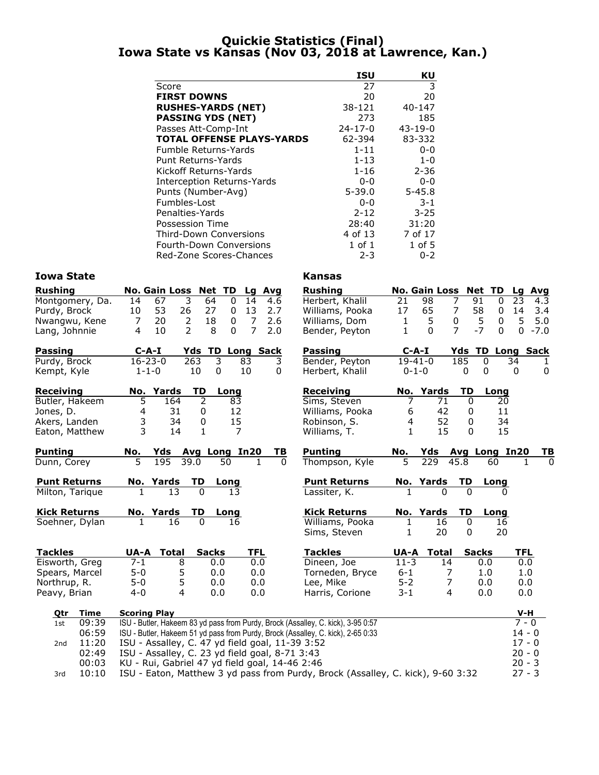## **Quickie Statistics (Final) Iowa State vs Kansas (Nov 03, 2018 at Lawrence, Kan.)**

|                                  | <b>ISU</b>    | ΚU            |
|----------------------------------|---------------|---------------|
| Score                            | 27            | 3             |
| <b>FIRST DOWNS</b>               | 20            | 20            |
| <b>RUSHES-YARDS (NET)</b>        | 38-121        | 40-147        |
| <b>PASSING YDS (NET)</b>         | 273           | 185           |
| Passes Att-Comp-Int              | $24 - 17 - 0$ | $43 - 19 - 0$ |
| <b>TOTAL OFFENSE PLAYS-YARDS</b> | 62-394        | 83-332        |
| Fumble Returns-Yards             | $1 - 11$      | 0-0           |
| Punt Returns-Yards               | 1-13          | $1 - 0$       |
| Kickoff Returns-Yards            | 1-16          | $2 - 36$      |
| Interception Returns-Yards       | 0-0           | 0-0           |
| Punts (Number-Avg)               | $5 - 39.0$    | $5 - 45.8$    |
| Fumbles-Lost                     | 0-0           | $3 - 1$       |
| Penalties-Yards                  | $2 - 12$      | $3 - 25$      |
| Possession Time                  | 28:40         | 31:20         |
| <b>Third-Down Conversions</b>    | 4 of 13       | 7 of 17       |
| Fourth-Down Conversions          | $1$ of $1$    | $1$ of 5      |
| Red-Zone Scores-Chances          | 2-3           | $0 - 2$       |

| <b>Iowa State</b>        |                                                                                  | <b>Kansas</b>       |                |                 |                                    |                    |
|--------------------------|----------------------------------------------------------------------------------|---------------------|----------------|-----------------|------------------------------------|--------------------|
| <b>Rushing</b>           | No. Gain Loss Net TD<br>Lg Avg                                                   | <b>Rushing</b>      |                |                 | No. Gain Loss Net TD               | Lg Avg             |
| Montgomery, Da.          | 3<br>67<br>14<br>14<br>64<br>$\mathbf{0}$<br>4.6                                 | Herbert, Khalil     | 21             | 98              | 7<br>91<br>0                       | 23<br>4.3          |
| Purdy, Brock             | 53<br>26<br>27<br>13<br>10<br>0<br>2.7                                           | Williams, Pooka     | 17             | 65              | 7<br>58<br>0                       | 3.4<br>14          |
| Nwangwu, Kene            | 20<br>$\overline{2}$<br>$\overline{7}$<br>7<br>18<br>0<br>2.6                    | Williams, Dom       | 1              | 5               | 0<br>5<br>0                        | 5<br>5.0           |
| Lang, Johnnie            | 2<br>8<br>$\overline{7}$<br>10<br>$\Omega$<br>2.0<br>4                           | Bender, Peyton      | $\mathbf{1}$   | $\Omega$        | $\overline{7}$<br>$-7$<br>$\Omega$ | $\Omega$<br>$-7.0$ |
| <b>Passing</b>           | $C-A-I$<br>Yds TD Long Sack                                                      | <b>Passing</b>      | $C$ -A-I       |                 | <b>Yds TD</b>                      | <b>Long Sack</b>   |
| Purdy, Brock             | $16 - 23 - 0$<br>3<br>263<br>3<br>83                                             | Bender, Peyton      | $19-41-0$      |                 | 185<br>$\overline{0}$              | 34<br>1            |
| Kempt, Kyle              | $1 - 1 - 0$<br>10<br>$\boldsymbol{0}$<br>10<br>0                                 | Herbert, Khalil     | $0 - 1 - 0$    |                 | 0<br>0                             | 0<br>0             |
| <b>Receiving</b>         | No. Yards<br>TD<br>Long                                                          | <b>Receiving</b>    |                | No. Yards       | TD<br>Long                         |                    |
| Butler, Hakeem           | 5<br>164<br>2<br>83                                                              | Sims, Steven        | 7              | 71              | 0<br>20                            |                    |
| Jones, D.                | 4<br>31<br>12<br>0                                                               | Williams, Pooka     | 6              | 42              | 11<br>$\mathbf 0$                  |                    |
| Akers, Landen            | 3<br>34<br>15<br>0                                                               | Robinson, S.        | $\overline{4}$ | 52              | 0<br>34                            |                    |
| Eaton, Matthew           | $\overline{3}$<br>7<br>14<br>$\mathbf{1}$                                        | Williams, T.        | $\mathbf{1}$   | 15              | 15<br>$\Omega$                     |                    |
| <b>Punting</b>           | Yds<br><b>Avg Long In20</b><br>No.<br>TВ                                         | <b>Punting</b>      | No.            | Yds             | Avg Long In20                      | <u>ТВ</u>          |
| Dunn, Corey              | 5<br>195<br>39.0<br>50<br>1.<br><sup>0</sup>                                     | Thompson, Kyle      | 5              | 229             | 45.8<br>60                         | <sup>0</sup><br>1  |
| <b>Punt Returns</b>      | <b>TD</b><br>No. Yards<br>Long                                                   | <b>Punt Returns</b> |                | No. Yards       | TD<br>Long                         |                    |
| Milton, Tarique          | 13<br>$\Omega$<br>13<br>1                                                        | Lassiter, K.        | 1              | $\Omega$        | $\Omega$                           | <sup>n</sup>       |
| <b>Kick Returns</b>      | No. Yards<br>TD<br>Long                                                          | <b>Kick Returns</b> |                | No. Yards       | TD<br>Long                         |                    |
| Soehner, Dylan           | $\Omega$<br>16<br>16<br>1                                                        | Williams, Pooka     | 1              | 16              | 0<br>16                            |                    |
|                          |                                                                                  | Sims, Steven        | 1              | 20              | 20<br>0                            |                    |
| <b>Tackles</b>           | <b>Total</b><br><b>Sacks</b><br><b>TFL</b><br>UA-A                               | <b>Tackles</b>      | UA-A           | <b>Total</b>    | <b>Sacks</b>                       | <b>TFL</b>         |
| Eisworth, Greg           | $7 - 1$<br>8<br>0.0<br>0.0                                                       | Dineen, Joe         | $11 - 3$       | $\overline{14}$ | 0.0                                | 0.0                |
| Spears, Marcel           | $5 - 0$<br>5<br>0.0<br>0.0                                                       | Torneden, Bryce     | $6 - 1$        | 7               | 1.0                                | 1.0                |
| Northrup, R.             | 5<br>$5 - 0$<br>0.0<br>0.0                                                       | Lee, Mike           | $5 - 2$        | $\overline{7}$  | 0.0                                | 0.0                |
| Peavy, Brian             | $\overline{4}$<br>$4 - 0$<br>0.0<br>0.0                                          | Harris, Corione     | $3 - 1$        | $\overline{4}$  | 0.0                                | 0.0                |
| Time<br><u>Qtr</u>       | <b>Scoring Play</b>                                                              |                     |                |                 |                                    | $V-H$              |
| 09:39<br>1st             | ISU - Butler, Hakeem 83 yd pass from Purdy, Brock (Assalley, C. kick), 3-95 0:57 |                     |                |                 |                                    | $7 - 0$            |
| 06:59                    | ISU - Butler, Hakeem 51 yd pass from Purdy, Brock (Assalley, C. kick), 2-65 0:33 |                     |                |                 |                                    | $14 - 0$           |
| 11:20<br>2 <sub>nd</sub> | ISU - Assalley, C. 47 yd field goal, 11-39 3:52                                  |                     |                |                 |                                    | $17 - 0$           |
| 02:49                    | ISU - Assalley, C. 23 yd field goal, 8-71 3:43                                   |                     |                |                 |                                    | $20 - 0$           |
| 00:03                    | KU - Rui, Gabriel 47 yd field goal, 14-46 2:46                                   |                     |                |                 |                                    | $20 - 3$           |
| 10:10<br>3rd             | ISU - Eaton, Matthew 3 yd pass from Purdy, Brock (Assalley, C. kick), 9-60 3:32  |                     |                |                 |                                    | $27 - 3$           |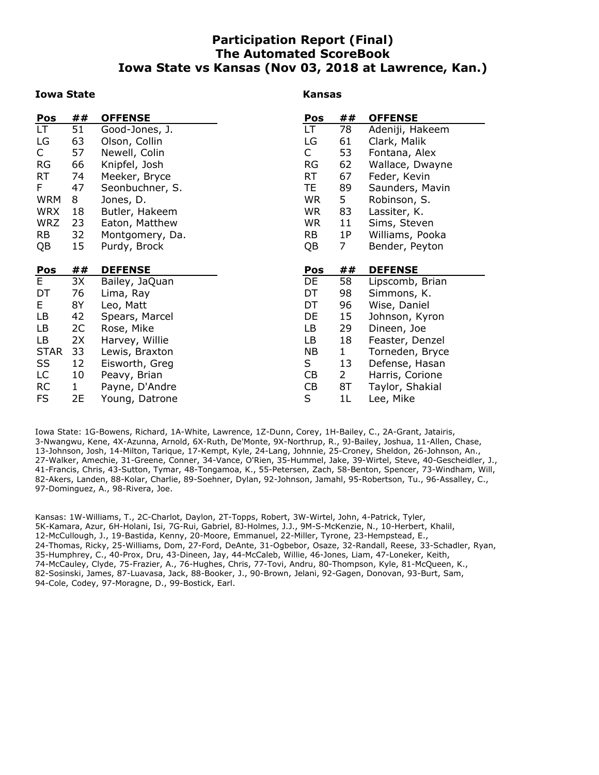# **Participation Report (Final) The Automated ScoreBook Iowa State vs Kansas (Nov 03, 2018 at Lawrence, Kan.)**

#### **Iowa State**

#### **Kansas**

| Pos         | ##           | <b>OFFENSE</b>                 | Pos       | ##             | <b>OFFENSE</b>                    |
|-------------|--------------|--------------------------------|-----------|----------------|-----------------------------------|
| LT.         | 51           | Good-Jones, J.                 | LT.       | 78             | Adeniji, Hakeem                   |
| LG          | 63           | Olson, Collin                  | LG        | 61             | Clark, Malik                      |
| C           | 57           | Newell, Colin                  | C         | 53             | Fontana, Alex                     |
| <b>RG</b>   | 66           | Knipfel, Josh                  | <b>RG</b> | 62             | Wallace, Dwayne                   |
| <b>RT</b>   | 74           | Meeker, Bryce                  | <b>RT</b> | 67             | Feder, Kevin                      |
| F           | 47           | Seonbuchner, S.                | TE.       | 89             | Saunders, Mavin                   |
| <b>WRM</b>  | 8            | Jones, D.                      | <b>WR</b> | 5              | Robinson, S.                      |
| <b>WRX</b>  | 18           | Butler, Hakeem                 | <b>WR</b> | 83             | Lassiter, K.                      |
| <b>WRZ</b>  | 23           | Eaton, Matthew                 | <b>WR</b> | 11             | Sims, Steven                      |
| <b>RB</b>   | 32           | Montgomery, Da.                | <b>RB</b> | 1P             | Williams, Pooka                   |
| QB          | 15           | Purdy, Brock                   | QB        | 7              | Bender, Peyton                    |
|             |              |                                |           |                |                                   |
|             |              |                                |           |                |                                   |
| Pos         | ##           | <b>DEFENSE</b>                 | Pos       | ##             | <b>DEFENSE</b>                    |
| E           | 3X           | Bailey, JaQuan                 | DE        | 58             | Lipscomb, Brian                   |
| DT          | 76           | Lima, Ray                      | DT        | 98             | Simmons, K.                       |
| E           | 8Y           | Leo, Matt                      | DT        | 96             | Wise, Daniel                      |
| LB          | 42           | Spears, Marcel                 | DE        | 15             | Johnson, Kyron                    |
| LB          | 2C           | Rose, Mike                     | LB        | 29             | Dineen, Joe                       |
| LB          | 2X           | Harvey, Willie                 | LB        | 18             | Feaster, Denzel                   |
| <b>STAR</b> | 33           | Lewis, Braxton                 | NB        | $\mathbf{1}$   |                                   |
| SS          | 12           | Eisworth, Greg                 | S         | 13             | Torneden, Bryce<br>Defense, Hasan |
| LC          | 10           |                                | CB        | $\overline{2}$ | Harris, Corione                   |
| <b>RC</b>   | $\mathbf{1}$ | Peavy, Brian<br>Payne, D'Andre | CB        | 8T             | Taylor, Shakial                   |

Iowa State: 1G-Bowens, Richard, 1A-White, Lawrence, 1Z-Dunn, Corey, 1H-Bailey, C., 2A-Grant, Jatairis, 3-Nwangwu, Kene, 4X-Azunna, Arnold, 6X-Ruth, De'Monte, 9X-Northrup, R., 9J-Bailey, Joshua, 11-Allen, Chase, 13-Johnson, Josh, 14-Milton, Tarique, 17-Kempt, Kyle, 24-Lang, Johnnie, 25-Croney, Sheldon, 26-Johnson, An., 27-Walker, Amechie, 31-Greene, Conner, 34-Vance, O'Rien, 35-Hummel, Jake, 39-Wirtel, Steve, 40-Gescheidler, J., 41-Francis, Chris, 43-Sutton, Tymar, 48-Tongamoa, K., 55-Petersen, Zach, 58-Benton, Spencer, 73-Windham, Will, 82-Akers, Landen, 88-Kolar, Charlie, 89-Soehner, Dylan, 92-Johnson, Jamahl, 95-Robertson, Tu., 96-Assalley, C., 97-Dominguez, A., 98-Rivera, Joe.

Kansas: 1W-Williams, T., 2C-Charlot, Daylon, 2T-Topps, Robert, 3W-Wirtel, John, 4-Patrick, Tyler, 5K-Kamara, Azur, 6H-Holani, Isi, 7G-Rui, Gabriel, 8J-Holmes, J.J., 9M-S-McKenzie, N., 10-Herbert, Khalil, 12-McCullough, J., 19-Bastida, Kenny, 20-Moore, Emmanuel, 22-Miller, Tyrone, 23-Hempstead, E., 24-Thomas, Ricky, 25-Williams, Dom, 27-Ford, DeAnte, 31-Ogbebor, Osaze, 32-Randall, Reese, 33-Schadler, Ryan, 35-Humphrey, C., 40-Prox, Dru, 43-Dineen, Jay, 44-McCaleb, Willie, 46-Jones, Liam, 47-Loneker, Keith, 74-McCauley, Clyde, 75-Frazier, A., 76-Hughes, Chris, 77-Tovi, Andru, 80-Thompson, Kyle, 81-McQueen, K., 82-Sosinski, James, 87-Luavasa, Jack, 88-Booker, J., 90-Brown, Jelani, 92-Gagen, Donovan, 93-Burt, Sam, 94-Cole, Codey, 97-Moragne, D., 99-Bostick, Earl.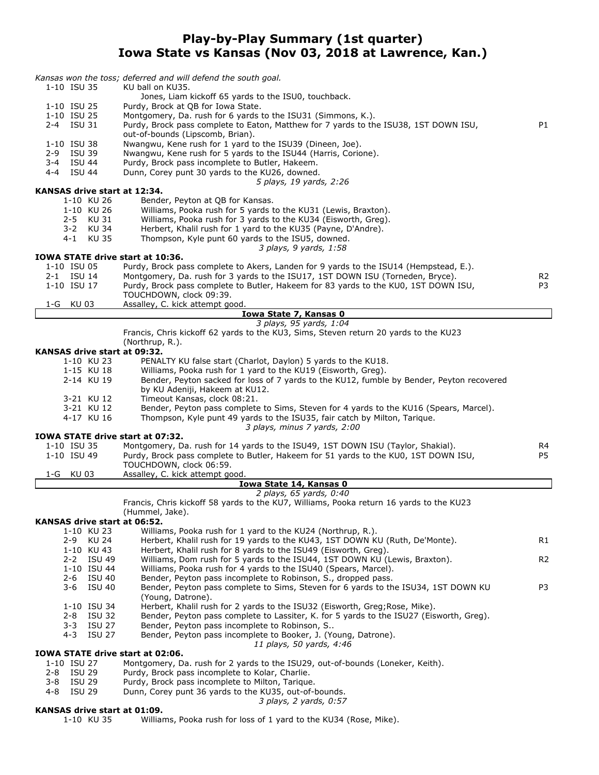## **Play-by-Play Summary (1st quarter) Iowa State vs Kansas (Nov 03, 2018 at Lawrence, Kan.)**

|                                                 | Kansas won the toss; deferred and will defend the south goal.                                                                                                           |                |
|-------------------------------------------------|-------------------------------------------------------------------------------------------------------------------------------------------------------------------------|----------------|
| 1-10 ISU 35                                     | KU ball on KU35.<br>Jones, Liam kickoff 65 yards to the ISU0, touchback.                                                                                                |                |
| 1-10 ISU 25                                     | Purdy, Brock at QB for Iowa State.                                                                                                                                      |                |
| 1-10 ISU 25<br>2-4 ISU 31                       | Montgomery, Da. rush for 6 yards to the ISU31 (Simmons, K.).<br>Purdy, Brock pass complete to Eaton, Matthew for 7 yards to the ISU38, 1ST DOWN ISU,                    | P1             |
|                                                 | out-of-bounds (Lipscomb, Brian).                                                                                                                                        |                |
| 1-10 ISU 38                                     | Nwangwu, Kene rush for 1 yard to the ISU39 (Dineen, Joe).                                                                                                               |                |
| 2-9 ISU 39<br>3-4 ISU 44                        | Nwangwu, Kene rush for 5 yards to the ISU44 (Harris, Corione).<br>Purdy, Brock pass incomplete to Butler, Hakeem.                                                       |                |
| 4-4 ISU 44                                      | Dunn, Corey punt 30 yards to the KU26, downed.                                                                                                                          |                |
|                                                 | 5 plays, 19 yards, 2:26                                                                                                                                                 |                |
| KANSAS drive start at 12:34.<br>1-10 KU 26      | Bender, Peyton at QB for Kansas.                                                                                                                                        |                |
| 1-10 KU 26                                      | Williams, Pooka rush for 5 yards to the KU31 (Lewis, Braxton).                                                                                                          |                |
| 2-5 KU 31                                       | Williams, Pooka rush for 3 yards to the KU34 (Eisworth, Greg).                                                                                                          |                |
| 3-2 KU 34<br>4-1 KU 35                          | Herbert, Khalil rush for 1 yard to the KU35 (Payne, D'Andre).<br>Thompson, Kyle punt 60 yards to the ISU5, downed.                                                      |                |
|                                                 | 3 plays, 9 yards, 1:58                                                                                                                                                  |                |
| IOWA STATE drive start at 10:36.<br>1-10 ISU 05 |                                                                                                                                                                         |                |
| 2-1 ISU 14                                      | Purdy, Brock pass complete to Akers, Landen for 9 yards to the ISU14 (Hempstead, E.).<br>Montgomery, Da. rush for 3 yards to the ISU17, 1ST DOWN ISU (Torneden, Bryce). | R <sub>2</sub> |
| 1-10 ISU 17                                     | Purdy, Brock pass complete to Butler, Hakeem for 83 yards to the KU0, 1ST DOWN ISU,                                                                                     | P3             |
|                                                 | TOUCHDOWN, clock 09:39.                                                                                                                                                 |                |
| 1-G KU03                                        | Assalley, C. kick attempt good.<br>Iowa State 7, Kansas 0                                                                                                               |                |
|                                                 | 3 plays, 95 yards, 1:04                                                                                                                                                 |                |
|                                                 | Francis, Chris kickoff 62 yards to the KU3, Sims, Steven return 20 yards to the KU23                                                                                    |                |
| KANSAS drive start at 09:32.                    | (Northrup, R.).                                                                                                                                                         |                |
| 1-10 KU 23                                      | PENALTY KU false start (Charlot, Daylon) 5 yards to the KU18.                                                                                                           |                |
| 1-15 KU 18                                      | Williams, Pooka rush for 1 yard to the KU19 (Eisworth, Greg).                                                                                                           |                |
| 2-14 KU 19                                      | Bender, Peyton sacked for loss of 7 yards to the KU12, fumble by Bender, Peyton recovered<br>by KU Adeniji, Hakeem at KU12.                                             |                |
| 3-21 KU 12                                      | Timeout Kansas, clock 08:21.                                                                                                                                            |                |
| 3-21 KU 12                                      | Bender, Peyton pass complete to Sims, Steven for 4 yards to the KU16 (Spears, Marcel).                                                                                  |                |
| 4-17 KU 16                                      | Thompson, Kyle punt 49 yards to the ISU35, fair catch by Milton, Tarique.<br>3 plays, minus 7 yards, 2:00                                                               |                |
| IOWA STATE drive start at 07:32.                |                                                                                                                                                                         |                |
| 1-10 ISU 35                                     | Montgomery, Da. rush for 14 yards to the ISU49, 1ST DOWN ISU (Taylor, Shakial).                                                                                         | R4             |
| 1-10 ISU 49                                     | Purdy, Brock pass complete to Butler, Hakeem for 51 yards to the KU0, 1ST DOWN ISU,<br>TOUCHDOWN, clock 06:59.                                                          | P5             |
| 1-G KU 03                                       | Assalley, C. kick attempt good.                                                                                                                                         |                |
|                                                 | Iowa State 14, Kansas 0                                                                                                                                                 |                |
|                                                 | 2 plays, 65 yards, 0:40<br>Francis, Chris kickoff 58 yards to the KU7, Williams, Pooka return 16 yards to the KU23                                                      |                |
|                                                 | (Hummel, Jake).                                                                                                                                                         |                |
| KANSAS drive start at 06:52.                    |                                                                                                                                                                         |                |
| 1-10 KU 23<br>2-9 KU 24                         | Williams, Pooka rush for 1 yard to the KU24 (Northrup, R.).<br>Herbert, Khalil rush for 19 yards to the KU43, 1ST DOWN KU (Ruth, De'Monte).                             | R1             |
| 1-10 KU 43                                      | Herbert, Khalil rush for 8 yards to the ISU49 (Eisworth, Greg).                                                                                                         |                |
| 2-2 ISU 49                                      | Williams, Dom rush for 5 yards to the ISU44, 1ST DOWN KU (Lewis, Braxton).                                                                                              | R <sub>2</sub> |
| 1-10 ISU 44<br>2-6 ISU 40                       | Williams, Pooka rush for 4 yards to the ISU40 (Spears, Marcel).<br>Bender, Peyton pass incomplete to Robinson, S., dropped pass.                                        |                |
| 3-6 ISU 40                                      | Bender, Peyton pass complete to Sims, Steven for 6 yards to the ISU34, 1ST DOWN KU                                                                                      | P3             |
|                                                 | (Young, Datrone).                                                                                                                                                       |                |
| 1-10 ISU 34<br>2-8 ISU 32                       | Herbert, Khalil rush for 2 yards to the ISU32 (Eisworth, Greg; Rose, Mike).<br>Bender, Peyton pass complete to Lassiter, K. for 5 yards to the ISU27 (Eisworth, Greg).  |                |
| 3-3 ISU 27                                      | Bender, Peyton pass incomplete to Robinson, S                                                                                                                           |                |
| 4-3 ISU 27                                      | Bender, Peyton pass incomplete to Booker, J. (Young, Datrone).                                                                                                          |                |
| <b>IOWA STATE drive start at 02:06.</b>         | 11 plays, 50 yards, 4:46                                                                                                                                                |                |
| 1-10 ISU 27                                     | Montgomery, Da. rush for 2 yards to the ISU29, out-of-bounds (Loneker, Keith).                                                                                          |                |
| 2-8 ISU 29                                      | Purdy, Brock pass incomplete to Kolar, Charlie.                                                                                                                         |                |
| $3 - 8$<br><b>ISU 29</b><br>ISU 29<br>4-8       | Purdy, Brock pass incomplete to Milton, Tarique.<br>Dunn, Corey punt 36 yards to the KU35, out-of-bounds.                                                               |                |
|                                                 | 3 plays, 2 yards, 0:57                                                                                                                                                  |                |
| KANSAS drive start at 01:09.<br>1-10 KU 35      | Williams, Pooka rush for loss of 1 yard to the KU34 (Rose, Mike).                                                                                                       |                |
|                                                 |                                                                                                                                                                         |                |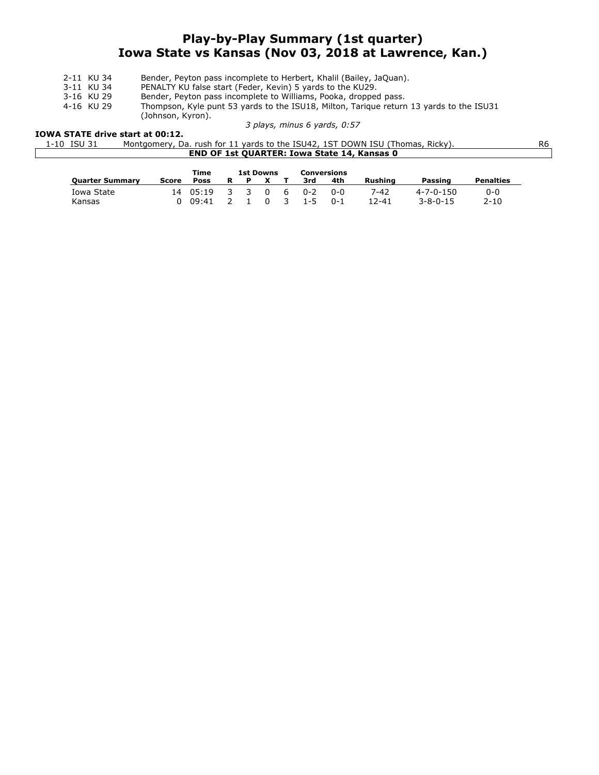# **Play-by-Play Summary (1st quarter) Iowa State vs Kansas (Nov 03, 2018 at Lawrence, Kan.)**

- 2-11 KU 34 Bender, Peyton pass incomplete to Herbert, Khalil (Bailey, JaQuan).<br>3-11 KU 34 PENALTY KU false start (Feder, Kevin) 5 yards to the KU29.
- 3-11 KU 34 PENALTY KU false start (Feder, Kevin) 5 yards to the KU29.<br>3-16 KU 29 Bender, Peyton pass incomplete to Williams, Pooka, dropper
- 3-16 KU 29 Bender, Peyton pass incomplete to Williams, Pooka, dropped pass.<br>4-16 KU 29 Thompson, Kyle punt 53 yards to the ISU18, Milton, Tarique return
- Thompson, Kyle punt 53 yards to the ISU18, Milton, Tarique return 13 yards to the ISU31

(Johnson, Kyron).

#### *3 plays, minus 6 yards, 0:57*

#### **IOWA STATE drive start at 00:12.**

| 1-10 ISU 31 | Montgomery, Da. rush for 11 yards to the ISU42, 1ST DOWN ISU (Thomas, Ricky). | R6 |
|-------------|-------------------------------------------------------------------------------|----|
|             | <b>END OF 1st QUARTER: Iowa State 14, Kansas 0</b>                            |    |

|                        |       | Time  |   | 1st Downs<br>Conversions |              |               |                    |         |                   |                   |                  |
|------------------------|-------|-------|---|--------------------------|--------------|---------------|--------------------|---------|-------------------|-------------------|------------------|
| <b>Ouarter Summary</b> | Score | Poss  | R | - P                      | $\mathbf{x}$ |               | 3rd                | 4th     | <b>Rushing</b>    | Passing           | <b>Penalties</b> |
| Iowa State             | 14    | 05:19 |   | . २. २                   | - 0          | - 6           | $0 - 2$<br>$1 - 5$ | 0-0     | 7-42<br>$12 - 41$ | $4 - 7 - 0 - 150$ | 0-0              |
| Kansas                 |       | 09:41 |   |                          |              | $\mathcal{R}$ |                    | $0 - 1$ |                   | $3 - 8 - 0 - 15$  | $2 - 10$         |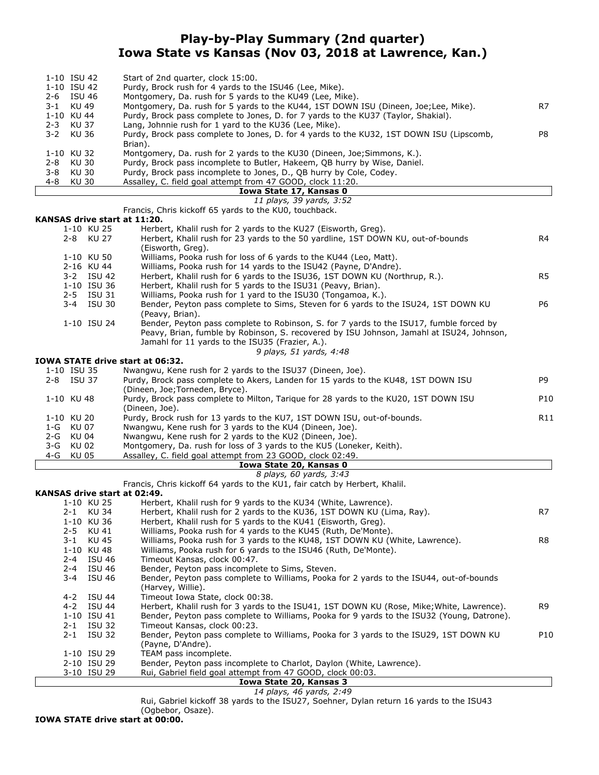# **Play-by-Play Summary (2nd quarter) Iowa State vs Kansas (Nov 03, 2018 at Lawrence, Kan.)**

|         | 1-10 ISU 42 | Start of 2nd quarter, clock 15:00.                                                       |    |
|---------|-------------|------------------------------------------------------------------------------------------|----|
|         | 1-10 ISU 42 | Purdy, Brock rush for 4 yards to the ISU46 (Lee, Mike).                                  |    |
|         | 2-6 ISU 46  | Montgomery, Da. rush for 5 yards to the KU49 (Lee, Mike).                                |    |
|         | 3-1 KU 49   | Montgomery, Da. rush for 5 yards to the KU44, 1ST DOWN ISU (Dineen, Joe; Lee, Mike).     | R7 |
|         | 1-10 KU 44  | Purdy, Brock pass complete to Jones, D. for 7 yards to the KU37 (Taylor, Shakial).       |    |
|         | 2-3 KU 37   | Lang, Johnnie rush for 1 yard to the KU36 (Lee, Mike).                                   |    |
|         | 3-2 KU 36   | Purdy, Brock pass complete to Jones, D. for 4 yards to the KU32, 1ST DOWN ISU (Lipscomb, | P8 |
|         |             | Brian).                                                                                  |    |
|         | 1-10 KU 32  | Montgomery, Da. rush for 2 yards to the KU30 (Dineen, Joe; Simmons, K.).                 |    |
| 2-8     | KU 30       | Purdy, Brock pass incomplete to Butler, Hakeem, OB hurry by Wise, Daniel.                |    |
| 3-8     | KU 30       | Purdy, Brock pass incomplete to Jones, D., QB hurry by Cole, Codey.                      |    |
| $4 - 8$ | KU 30       | Assalley, C. field goal attempt from 47 GOOD, clock 11:20.                               |    |
|         |             | Iowa State 17, Kansas 0                                                                  |    |
|         |             | 11 plays, 39 yards, 3:52                                                                 |    |

Francis, Chris kickoff 65 yards to the KU0, touchback.

# **KANSAS** drive start

|     | KANSAS drive start at 11'20. |                                                                                                                                                                                                                                                                   |                 |
|-----|------------------------------|-------------------------------------------------------------------------------------------------------------------------------------------------------------------------------------------------------------------------------------------------------------------|-----------------|
|     | 1-10 KU 25                   | Herbert, Khalil rush for 2 yards to the KU27 (Eisworth, Greg).                                                                                                                                                                                                    |                 |
|     | 2-8 KU 27                    | Herbert, Khalil rush for 23 yards to the 50 yardline, 1ST DOWN KU, out-of-bounds<br>(Eisworth, Greg).                                                                                                                                                             | R4              |
|     | 1-10 KU 50                   | Williams, Pooka rush for loss of 6 yards to the KU44 (Leo, Matt).                                                                                                                                                                                                 |                 |
|     | 2-16 KU 44                   | Williams, Pooka rush for 14 yards to the ISU42 (Payne, D'Andre).                                                                                                                                                                                                  |                 |
|     | 3-2 ISU 42                   | Herbert, Khalil rush for 6 yards to the ISU36, 1ST DOWN KU (Northrup, R.).                                                                                                                                                                                        | R <sub>5</sub>  |
|     | 1-10 ISU 36                  | Herbert, Khalil rush for 5 yards to the ISU31 (Peavy, Brian).                                                                                                                                                                                                     |                 |
|     | 2-5 ISU 31                   | Williams, Pooka rush for 1 yard to the ISU30 (Tongamoa, K.).                                                                                                                                                                                                      |                 |
|     | 3-4 ISU 30                   | Bender, Peyton pass complete to Sims, Steven for 6 yards to the ISU24, 1ST DOWN KU<br>(Peavy, Brian).                                                                                                                                                             | P6              |
|     | 1-10 ISU 24                  | Bender, Peyton pass complete to Robinson, S. for 7 yards to the ISU17, fumble forced by<br>Peavy, Brian, fumble by Robinson, S. recovered by ISU Johnson, Jamahl at ISU24, Johnson,<br>Jamahl for 11 yards to the ISU35 (Frazier, A.).<br>9 plays, 51 yards, 4:48 |                 |
|     |                              | IOWA STATE drive start at 06:32.                                                                                                                                                                                                                                  |                 |
|     | 1-10 ISU 35                  | Nwangwu, Kene rush for 2 yards to the ISU37 (Dineen, Joe).                                                                                                                                                                                                        |                 |
|     | 2-8 ISU 37                   | Purdy, Brock pass complete to Akers, Landen for 15 yards to the KU48, 1ST DOWN ISU<br>(Dineen, Joe;Torneden, Bryce).                                                                                                                                              | P9              |
|     | 1-10 KU 48                   | Purdy, Brock pass complete to Milton, Tarique for 28 yards to the KU20, 1ST DOWN ISU<br>(Dineen, Joe).                                                                                                                                                            | P <sub>10</sub> |
|     | 1-10 KU 20                   | Purdy, Brock rush for 13 yards to the KU7, 1ST DOWN ISU, out-of-bounds.                                                                                                                                                                                           | R <sub>11</sub> |
| 1-G | KU 07                        | Nwangwu, Kene rush for 3 yards to the KU4 (Dineen, Joe).                                                                                                                                                                                                          |                 |
| 2-G | KU 04                        | Nwangwu, Kene rush for 2 yards to the KU2 (Dineen, Joe).                                                                                                                                                                                                          |                 |
| 3-G | KU 02                        | Montgomery, Da. rush for loss of 3 yards to the KU5 (Loneker, Keith).                                                                                                                                                                                             |                 |
|     | 4-G KU 05                    | Assalley, C. field goal attempt from 23 GOOD, clock 02:49.                                                                                                                                                                                                        |                 |

#### **Iowa State 20, Kansas 0**

*8 plays, 60 yards, 3:43*

Francis, Chris kickoff 64 yards to the KU1, fair catch by Herbert, Khalil.

### **KANSAS drive**

| KANSAS drive start at 02:49. |                                                                                                              |                 |
|------------------------------|--------------------------------------------------------------------------------------------------------------|-----------------|
| 1-10 KU 25                   | Herbert, Khalil rush for 9 yards to the KU34 (White, Lawrence).                                              |                 |
| 2-1 KU 34                    | Herbert, Khalil rush for 2 yards to the KU36, 1ST DOWN KU (Lima, Ray).                                       | R7              |
| 1-10 KU 36                   | Herbert, Khalil rush for 5 yards to the KU41 (Eisworth, Greg).                                               |                 |
| 2-5 KU 41                    | Williams, Pooka rush for 4 yards to the KU45 (Ruth, De'Monte).                                               |                 |
| 3-1 KU 45                    | Williams, Pooka rush for 3 yards to the KU48, 1ST DOWN KU (White, Lawrence).                                 | R8              |
| 1-10 KU 48                   | Williams, Pooka rush for 6 yards to the ISU46 (Ruth, De'Monte).                                              |                 |
| 2-4 ISU 46                   | Timeout Kansas, clock 00:47.                                                                                 |                 |
| 2-4 ISU 46                   | Bender, Peyton pass incomplete to Sims, Steven.                                                              |                 |
| 3-4 ISU 46                   | Bender, Peyton pass complete to Williams, Pooka for 2 yards to the ISU44, out-of-bounds<br>(Harvey, Willie). |                 |
| 4-2 ISU 44                   | Timeout Iowa State, clock 00:38.                                                                             |                 |
| 4-2 ISU 44                   | Herbert, Khalil rush for 3 yards to the ISU41, 1ST DOWN KU (Rose, Mike; White, Lawrence).                    | R <sub>9</sub>  |
| 1-10 ISU 41                  | Bender, Peyton pass complete to Williams, Pooka for 9 yards to the ISU32 (Young, Datrone).                   |                 |
| 2-1 ISU 32                   | Timeout Kansas, clock 00:23.                                                                                 |                 |
| $2 - 1$ ISU 32               | Bender, Peyton pass complete to Williams, Pooka for 3 yards to the ISU29, 1ST DOWN KU                        | P <sub>10</sub> |
|                              | (Payne, D'Andre).                                                                                            |                 |
| 1-10 ISU 29                  | TEAM pass incomplete.                                                                                        |                 |
| 2-10 ISU 29                  | Bender, Peyton pass incomplete to Charlot, Daylon (White, Lawrence).                                         |                 |
| 3-10 ISU 29                  | Rui, Gabriel field goal attempt from 47 GOOD, clock 00:03.                                                   |                 |
|                              | <b>Iowa State 20, Kansas 3</b>                                                                               |                 |

*14 plays, 46 yards, 2:49* Rui, Gabriel kickoff 38 yards to the ISU27, Soehner, Dylan return 16 yards to the ISU43

(Ogbebor, Osaze).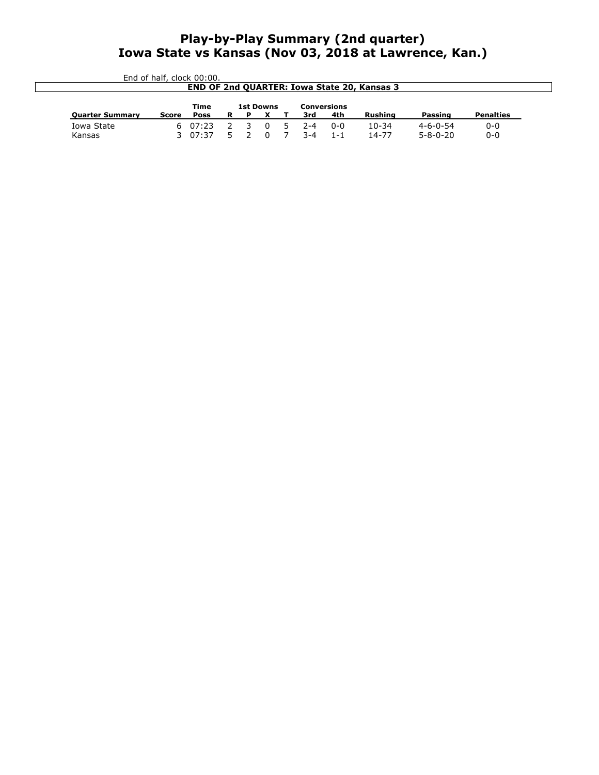# **Play-by-Play Summary (2nd quarter) Iowa State vs Kansas (Nov 03, 2018 at Lawrence, Kan.)**

| End of half, clock 00:00.<br><b>END OF 2nd QUARTER: Iowa State 20, Kansas 3</b> |       |        |                  |                         |   |               |                    |     |           |                  |                  |
|---------------------------------------------------------------------------------|-------|--------|------------------|-------------------------|---|---------------|--------------------|-----|-----------|------------------|------------------|
|                                                                                 |       | Time   | <b>1st Downs</b> |                         |   |               | <b>Conversions</b> |     |           |                  |                  |
|                                                                                 |       |        | R                | P                       |   |               | 3rd                | 4th | Rushing   | Passing          | <b>Penalties</b> |
| <b>Quarter Summary</b>                                                          | Score | Poss   |                  |                         |   |               |                    |     |           |                  |                  |
| Iowa State                                                                      |       | 607:23 |                  | $\overline{\mathbf{3}}$ | 0 | $\mathcal{D}$ | $2 - 4$            | 0-0 | $10 - 34$ | $4 - 6 - 0 - 54$ | $0 - 0$          |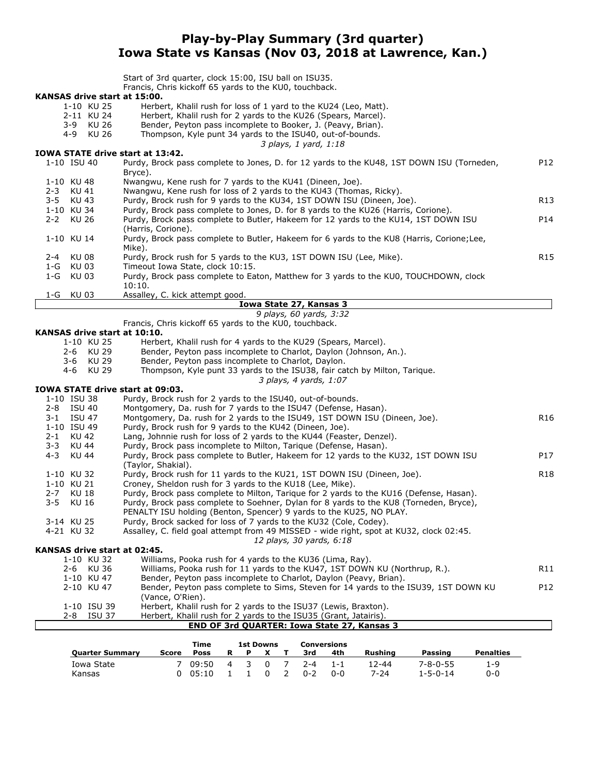# **Play-by-Play Summary (3rd quarter) Iowa State vs Kansas (Nov 03, 2018 at Lawrence, Kan.)**

|                                         | Start of 3rd quarter, clock 15:00, ISU ball on ISU35.                                                                                                        |                 |
|-----------------------------------------|--------------------------------------------------------------------------------------------------------------------------------------------------------------|-----------------|
|                                         | Francis, Chris kickoff 65 yards to the KU0, touchback.                                                                                                       |                 |
| KANSAS drive start at 15:00.            |                                                                                                                                                              |                 |
| 1-10 KU 25                              | Herbert, Khalil rush for loss of 1 yard to the KU24 (Leo, Matt).                                                                                             |                 |
| 2-11 KU 24                              | Herbert, Khalil rush for 2 yards to the KU26 (Spears, Marcel).                                                                                               |                 |
| 3-9 KU 26<br>4-9 KU 26                  | Bender, Peyton pass incomplete to Booker, J. (Peavy, Brian).<br>Thompson, Kyle punt 34 yards to the ISU40, out-of-bounds.                                    |                 |
|                                         | 3 plays, 1 yard, 1:18                                                                                                                                        |                 |
| <b>IOWA STATE drive start at 13:42.</b> |                                                                                                                                                              |                 |
| 1-10 ISU 40                             | Purdy, Brock pass complete to Jones, D. for 12 yards to the KU48, 1ST DOWN ISU (Torneden,<br>Bryce).                                                         | P12             |
| 1-10 KU 48                              | Nwangwu, Kene rush for 7 yards to the KU41 (Dineen, Joe).                                                                                                    |                 |
| KU 41<br>$2 - 3$                        | Nwangwu, Kene rush for loss of 2 yards to the KU43 (Thomas, Ricky).                                                                                          |                 |
| KU 43<br>3-5                            | Purdy, Brock rush for 9 yards to the KU34, 1ST DOWN ISU (Dineen, Joe).<br>Purdy, Brock pass complete to Jones, D. for 8 yards to the KU26 (Harris, Corione). | R13             |
| 1-10 KU 34<br>$2 - 2$<br>KU 26          | Purdy, Brock pass complete to Butler, Hakeem for 12 yards to the KU14, 1ST DOWN ISU                                                                          | P14             |
|                                         | (Harris, Corione).                                                                                                                                           |                 |
| 1-10 KU 14                              | Purdy, Brock pass complete to Butler, Hakeem for 6 yards to the KU8 (Harris, Corione; Lee,<br>Mike).                                                         |                 |
| KU 08<br>2-4                            | Purdy, Brock rush for 5 yards to the KU3, 1ST DOWN ISU (Lee, Mike).                                                                                          | R <sub>15</sub> |
| 1-G KU 03                               | Timeout Iowa State, clock 10:15.                                                                                                                             |                 |
| 1-G KU 03                               | Purdy, Brock pass complete to Eaton, Matthew for 3 yards to the KU0, TOUCHDOWN, clock<br>10:10.                                                              |                 |
| 1-G<br>KU 03                            | Assalley, C. kick attempt good.                                                                                                                              |                 |
|                                         | Iowa State 27, Kansas 3<br>9 plays, 60 yards, 3:32                                                                                                           |                 |
|                                         | Francis, Chris kickoff 65 yards to the KU0, touchback.                                                                                                       |                 |
| KANSAS drive start at 10:10.            |                                                                                                                                                              |                 |
| 1-10 KU 25                              | Herbert, Khalil rush for 4 yards to the KU29 (Spears, Marcel).                                                                                               |                 |
| 2-6 KU 29                               | Bender, Peyton pass incomplete to Charlot, Daylon (Johnson, An.).                                                                                            |                 |
| 3-6 KU 29                               | Bender, Peyton pass incomplete to Charlot, Daylon.                                                                                                           |                 |
| 4-6 KU 29                               | Thompson, Kyle punt 33 yards to the ISU38, fair catch by Milton, Tarique.<br>3 plays, 4 yards, 1:07                                                          |                 |
| IOWA STATE drive start at 09:03.        |                                                                                                                                                              |                 |
| 1-10 ISU 38                             | Purdy, Brock rush for 2 yards to the ISU40, out-of-bounds.                                                                                                   |                 |
| 2-8 ISU 40                              | Montgomery, Da. rush for 7 yards to the ISU47 (Defense, Hasan).                                                                                              |                 |
| 3-1 ISU 47                              | Montgomery, Da. rush for 2 yards to the ISU49, 1ST DOWN ISU (Dineen, Joe).                                                                                   | R16             |
| 1-10 ISU 49                             | Purdy, Brock rush for 9 yards to the KU42 (Dineen, Joe).                                                                                                     |                 |
| KU 42<br>$2 - 1$                        | Lang, Johnnie rush for loss of 2 yards to the KU44 (Feaster, Denzel).                                                                                        |                 |
| $3 - 3$<br>KU 44                        | Purdy, Brock pass incomplete to Milton, Tarique (Defense, Hasan).                                                                                            |                 |
| $4 - 3$<br><b>KU 44</b>                 | Purdy, Brock pass complete to Butler, Hakeem for 12 yards to the KU32, 1ST DOWN ISU<br>(Taylor, Shakial).                                                    | P17             |
| 1-10 KU 32                              | Purdy, Brock rush for 11 yards to the KU21, 1ST DOWN ISU (Dineen, Joe).                                                                                      | R <sub>18</sub> |
| 1-10 KU 21                              | Croney, Sheldon rush for 3 yards to the KU18 (Lee, Mike).                                                                                                    |                 |
| $2 - 7$<br>KU 18                        | Purdy, Brock pass complete to Milton, Tarique for 2 yards to the KU16 (Defense, Hasan).                                                                      |                 |
| $3 - 5$<br><b>KU 16</b>                 | Purdy, Brock pass complete to Soehner, Dylan for 8 yards to the KU8 (Torneden, Bryce),                                                                       |                 |
|                                         | PENALTY ISU holding (Benton, Spencer) 9 yards to the KU25, NO PLAY.                                                                                          |                 |
| 3-14 KU 25                              | Purdy, Brock sacked for loss of 7 yards to the KU32 (Cole, Codey).                                                                                           |                 |
| 4-21 KU 32                              | Assalley, C. field goal attempt from 49 MISSED - wide right, spot at KU32, clock 02:45.                                                                      |                 |
| KANSAS drive start at 02:45.            | 12 plays, 30 yards, 6:18                                                                                                                                     |                 |
| 1-10 KU 32                              | Williams, Pooka rush for 4 yards to the KU36 (Lima, Ray).                                                                                                    |                 |
| 2-6 KU 36                               | Williams, Pooka rush for 11 yards to the KU47, 1ST DOWN KU (Northrup, R.).                                                                                   | R11             |
| 1-10 KU 47                              | Bender, Peyton pass incomplete to Charlot, Daylon (Peavy, Brian).                                                                                            |                 |
| 2-10 KU 47                              | Bender, Peyton pass complete to Sims, Steven for 14 yards to the ISU39, 1ST DOWN KU                                                                          | P12             |
|                                         | (Vance, O'Rien).                                                                                                                                             |                 |
| 1-10 ISU 39                             | Herbert, Khalil rush for 2 yards to the ISU37 (Lewis, Braxton).                                                                                              |                 |
| 2-8 ISU 37                              | Herbert, Khalil rush for 2 yards to the ISU35 (Grant, Jatairis).<br>END OF 3rd QUARTER: Iowa State 27, Kansas 3                                              |                 |
|                                         |                                                                                                                                                              |                 |

|                        |       | <b>Time</b> | <b>1st Downs</b> |        |         | Conversions |         |                  |                  |
|------------------------|-------|-------------|------------------|--------|---------|-------------|---------|------------------|------------------|
| <b>Ouarter Summary</b> | Score | Poss        | Ð                |        | 3rd     | 4th         | Rushing | Passing          | <b>Penalties</b> |
| Iowa State             |       | 09:50       | 4 3              | $\cap$ | $2 - 4$ | $1 - 1$     | 12-44   | $7 - 8 - 0 - 55$ | 1-9              |
| Kansas                 |       | 05:10       |                  |        | በ-2     | $0 - 0$     | 7-24    | $1 - 5 - 0 - 14$ | $0 - 0$          |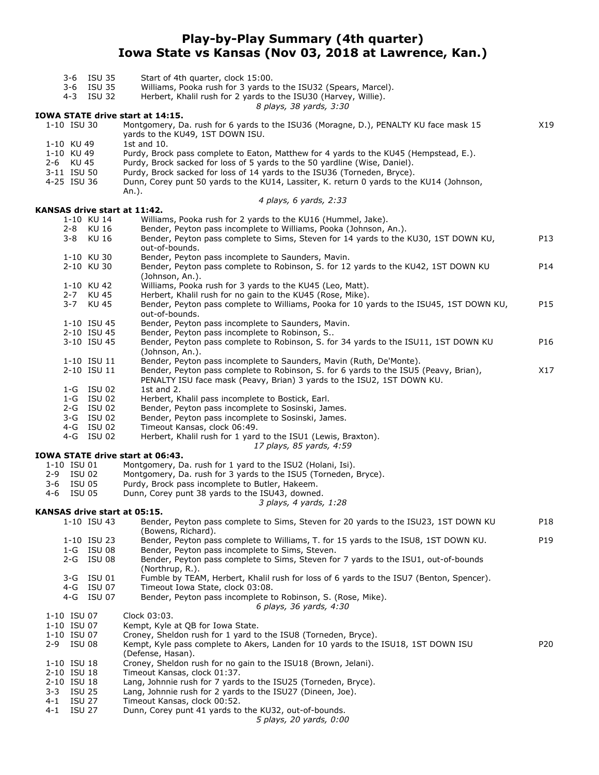# **Play-by-Play Summary (4th quarter) Iowa State vs Kansas (Nov 03, 2018 at Lawrence, Kan.)**

| 3-6                                                                 | ISU 35<br>3-6 ISU 35<br>4-3 ISU 32 | Start of 4th quarter, clock 15:00.<br>Williams, Pooka rush for 3 yards to the ISU32 (Spears, Marcel).<br>Herbert, Khalil rush for 2 yards to the ISU30 (Harvey, Willie).<br>8 plays, 38 yards, 3:30                                                                                                                                                                   |                        |
|---------------------------------------------------------------------|------------------------------------|-----------------------------------------------------------------------------------------------------------------------------------------------------------------------------------------------------------------------------------------------------------------------------------------------------------------------------------------------------------------------|------------------------|
|                                                                     |                                    | IOWA STATE drive start at 14:15.                                                                                                                                                                                                                                                                                                                                      |                        |
| 1-10 ISU 30                                                         |                                    | Montgomery, Da. rush for 6 yards to the ISU36 (Moragne, D.), PENALTY KU face mask 15<br>yards to the KU49, 1ST DOWN ISU.                                                                                                                                                                                                                                              | X19                    |
| 1-10 KU 49<br>1-10 KU 49<br>2-6 KU 45<br>3-11 ISU 50<br>4-25 ISU 36 |                                    | 1st and $10.$<br>Purdy, Brock pass complete to Eaton, Matthew for 4 yards to the KU45 (Hempstead, E.).<br>Purdy, Brock sacked for loss of 5 yards to the 50 yardline (Wise, Daniel).<br>Purdy, Brock sacked for loss of 14 yards to the ISU36 (Torneden, Bryce).<br>Dunn, Corey punt 50 yards to the KU14, Lassiter, K. return 0 yards to the KU14 (Johnson,<br>An.). |                        |
|                                                                     |                                    | 4 plays, 6 yards, 2:33                                                                                                                                                                                                                                                                                                                                                |                        |
| KANSAS drive start at 11:42.                                        | 1-10 KU 14                         |                                                                                                                                                                                                                                                                                                                                                                       |                        |
| $3 - 8$                                                             | 2-8 KU 16<br><b>KU 16</b>          | Williams, Pooka rush for 2 yards to the KU16 (Hummel, Jake).<br>Bender, Peyton pass incomplete to Williams, Pooka (Johnson, An.).<br>Bender, Peyton pass complete to Sims, Steven for 14 yards to the KU30, 1ST DOWN KU,                                                                                                                                              | P13                    |
|                                                                     | 1-10 KU 30                         | out-of-bounds.<br>Bender, Peyton pass incomplete to Saunders, Mavin.                                                                                                                                                                                                                                                                                                  |                        |
|                                                                     | 2-10 KU 30<br>1-10 KU 42           | Bender, Peyton pass complete to Robinson, S. for 12 yards to the KU42, 1ST DOWN KU<br>(Johnson, An.).<br>Williams, Pooka rush for 3 yards to the KU45 (Leo, Matt).                                                                                                                                                                                                    | P14                    |
|                                                                     | 2-7 KU 45                          | Herbert, Khalil rush for no gain to the KU45 (Rose, Mike).                                                                                                                                                                                                                                                                                                            |                        |
| 3-7                                                                 | KU 45                              | Bender, Peyton pass complete to Williams, Pooka for 10 yards to the ISU45, 1ST DOWN KU,<br>out-of-bounds.                                                                                                                                                                                                                                                             | P15                    |
|                                                                     | 1-10 ISU 45                        | Bender, Peyton pass incomplete to Saunders, Mavin.                                                                                                                                                                                                                                                                                                                    |                        |
|                                                                     | 2-10 ISU 45<br>3-10 ISU 45         | Bender, Peyton pass incomplete to Robinson, S<br>Bender, Peyton pass complete to Robinson, S. for 34 yards to the ISU11, 1ST DOWN KU<br>(Johnson, An.).                                                                                                                                                                                                               | P <sub>16</sub>        |
|                                                                     | 1-10 ISU 11<br>2-10 ISU 11         | Bender, Peyton pass incomplete to Saunders, Mavin (Ruth, De'Monte).<br>Bender, Peyton pass complete to Robinson, S. for 6 yards to the ISU5 (Peavy, Brian),<br>PENALTY ISU face mask (Peavy, Brian) 3 yards to the ISU2, 1ST DOWN KU.                                                                                                                                 | X17                    |
|                                                                     | 1-G ISU 02                         | 1st and $2.$                                                                                                                                                                                                                                                                                                                                                          |                        |
|                                                                     | 1-G ISU 02                         | Herbert, Khalil pass incomplete to Bostick, Earl.                                                                                                                                                                                                                                                                                                                     |                        |
|                                                                     | 2-G ISU 02                         | Bender, Peyton pass incomplete to Sosinski, James.                                                                                                                                                                                                                                                                                                                    |                        |
|                                                                     | 3-G ISU 02<br>4-G ISU 02           | Bender, Peyton pass incomplete to Sosinski, James.<br>Timeout Kansas, clock 06:49.                                                                                                                                                                                                                                                                                    |                        |
|                                                                     | 4-G ISU 02                         | Herbert, Khalil rush for 1 yard to the ISU1 (Lewis, Braxton).<br>17 plays, 85 yards, 4:59                                                                                                                                                                                                                                                                             |                        |
|                                                                     |                                    | IOWA STATE drive start at 06:43.                                                                                                                                                                                                                                                                                                                                      |                        |
| 1-10 ISU 01                                                         |                                    | Montgomery, Da. rush for 1 yard to the ISU2 (Holani, Isi).                                                                                                                                                                                                                                                                                                            |                        |
| 2-9 ISU 02<br>ISU 05<br>3-6<br>4-6                                  | ISU 05                             | Montgomery, Da. rush for 3 yards to the ISU5 (Torneden, Bryce).<br>Purdy, Brock pass incomplete to Butler, Hakeem.<br>Dunn, Corey punt 38 yards to the ISU43, downed.                                                                                                                                                                                                 |                        |
|                                                                     |                                    | 3 plays, 4 yards, 1:28                                                                                                                                                                                                                                                                                                                                                |                        |
| KANSAS drive start at 05:15.                                        |                                    |                                                                                                                                                                                                                                                                                                                                                                       |                        |
|                                                                     | 1-10 ISU 43<br>1-10 ISU 23         | Bender, Peyton pass complete to Sims, Steven for 20 yards to the ISU23, 1ST DOWN KU<br>(Bowens, Richard).<br>Bender, Peyton pass complete to Williams, T. for 15 yards to the ISU8, 1ST DOWN KU.                                                                                                                                                                      | P18<br>P <sub>19</sub> |
|                                                                     | 1-G ISU 08<br>2-G ISU 08           | Bender, Peyton pass incomplete to Sims, Steven.<br>Bender, Peyton pass complete to Sims, Steven for 7 yards to the ISU1, out-of-bounds                                                                                                                                                                                                                                |                        |
|                                                                     | 3-G ISU 01<br>4-G ISU 07           | (Northrup, R.).<br>Fumble by TEAM, Herbert, Khalil rush for loss of 6 yards to the ISU7 (Benton, Spencer).<br>Timeout Iowa State, clock 03:08.                                                                                                                                                                                                                        |                        |
|                                                                     | 4-G ISU 07                         | Bender, Peyton pass incomplete to Robinson, S. (Rose, Mike).<br>6 plays, 36 yards, 4:30                                                                                                                                                                                                                                                                               |                        |
| 1-10 ISU 07                                                         |                                    | Clock 03:03.                                                                                                                                                                                                                                                                                                                                                          |                        |
| 1-10 ISU 07                                                         |                                    | Kempt, Kyle at QB for Iowa State.                                                                                                                                                                                                                                                                                                                                     |                        |
| 1-10 ISU 07<br>2-9 ISU 08                                           |                                    | Croney, Sheldon rush for 1 yard to the ISU8 (Torneden, Bryce).<br>Kempt, Kyle pass complete to Akers, Landen for 10 yards to the ISU18, 1ST DOWN ISU<br>(Defense, Hasan).                                                                                                                                                                                             | P20                    |
| 1-10 ISU 18<br>2-10 ISU 18                                          |                                    | Croney, Sheldon rush for no gain to the ISU18 (Brown, Jelani).<br>Timeout Kansas, clock 01:37.                                                                                                                                                                                                                                                                        |                        |
| 2-10 ISU 18<br>ISU 25<br>$3 - 3$                                    |                                    | Lang, Johnnie rush for 7 yards to the ISU25 (Torneden, Bryce).<br>Lang, Johnnie rush for 2 yards to the ISU27 (Dineen, Joe).                                                                                                                                                                                                                                          |                        |
| $4 - 1$                                                             | <b>ISU 27</b>                      | Timeout Kansas, clock 00:52.                                                                                                                                                                                                                                                                                                                                          |                        |
| 4-1                                                                 | <b>ISU 27</b>                      | Dunn, Corey punt 41 yards to the KU32, out-of-bounds.                                                                                                                                                                                                                                                                                                                 |                        |

*5 plays, 20 yards, 0:00*